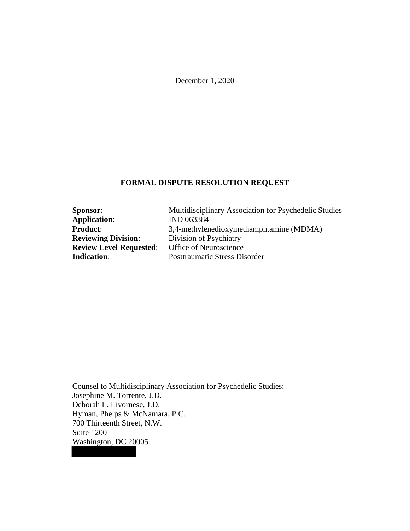December 1, 2020

# **FORMAL DISPUTE RESOLUTION REQUEST**

| <b>Sponsor:</b>                | Multidisciplinary Association for Psychedelic Studies |
|--------------------------------|-------------------------------------------------------|
| <b>Application:</b>            | IND 063384                                            |
| <b>Product:</b>                | 3,4-methylenedioxymethamphtamine (MDMA)               |
| <b>Reviewing Division:</b>     | Division of Psychiatry                                |
| <b>Review Level Requested:</b> | Office of Neuroscience                                |
| <b>Indication:</b>             | <b>Posttraumatic Stress Disorder</b>                  |

Counsel to Multidisciplinary Association for Psychedelic Studies: Josephine M. Torrente, J.D. Deborah L. Livornese, J.D. Hyman, Phelps & McNamara, P.C. 700 Thirteenth Street, N.W. Suite 1200 Washington, DC 20005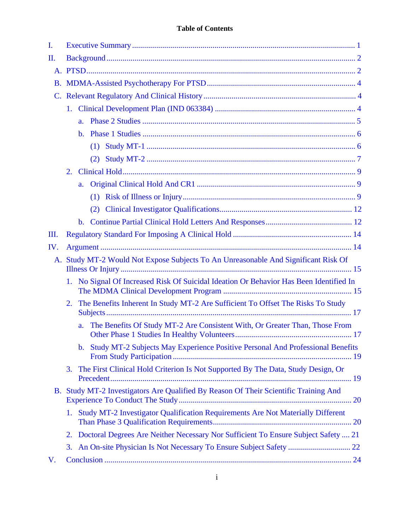| I.  |                                                                                           |                |                                                                                       |  |  |  |
|-----|-------------------------------------------------------------------------------------------|----------------|---------------------------------------------------------------------------------------|--|--|--|
| II. |                                                                                           |                |                                                                                       |  |  |  |
|     |                                                                                           |                |                                                                                       |  |  |  |
|     |                                                                                           |                |                                                                                       |  |  |  |
|     |                                                                                           |                |                                                                                       |  |  |  |
|     | 1.                                                                                        |                |                                                                                       |  |  |  |
|     | a.                                                                                        |                |                                                                                       |  |  |  |
|     |                                                                                           | $\mathbf{b}$ . |                                                                                       |  |  |  |
|     |                                                                                           |                | (1)                                                                                   |  |  |  |
|     |                                                                                           |                | (2)                                                                                   |  |  |  |
|     | 2.                                                                                        |                |                                                                                       |  |  |  |
|     |                                                                                           | a.             |                                                                                       |  |  |  |
|     |                                                                                           |                |                                                                                       |  |  |  |
|     |                                                                                           |                |                                                                                       |  |  |  |
|     |                                                                                           | $\mathbf{b}$ . |                                                                                       |  |  |  |
| Ш.  |                                                                                           |                |                                                                                       |  |  |  |
| IV. |                                                                                           |                |                                                                                       |  |  |  |
|     | Study MT-2 Would Not Expose Subjects To An Unreasonable And Significant Risk Of<br>A.     |                |                                                                                       |  |  |  |
|     | No Signal Of Increased Risk Of Suicidal Ideation Or Behavior Has Been Identified In<br>1. |                |                                                                                       |  |  |  |
|     | The Benefits Inherent In Study MT-2 Are Sufficient To Offset The Risks To Study<br>2.     |                |                                                                                       |  |  |  |
|     |                                                                                           | a.             | The Benefits Of Study MT-2 Are Consistent With, Or Greater Than, Those From           |  |  |  |
|     |                                                                                           |                | b. Study MT-2 Subjects May Experience Positive Personal And Professional Benefits     |  |  |  |
|     | 3.                                                                                        |                | The First Clinical Hold Criterion Is Not Supported By The Data, Study Design, Or      |  |  |  |
|     |                                                                                           |                | B. Study MT-2 Investigators Are Qualified By Reason Of Their Scientific Training And  |  |  |  |
|     | Study MT-2 Investigator Qualification Requirements Are Not Materially Different<br>1.     |                |                                                                                       |  |  |  |
|     |                                                                                           |                | 2. Doctoral Degrees Are Neither Necessary Nor Sufficient To Ensure Subject Safety  21 |  |  |  |
|     | 3.                                                                                        |                |                                                                                       |  |  |  |
| V.  |                                                                                           |                |                                                                                       |  |  |  |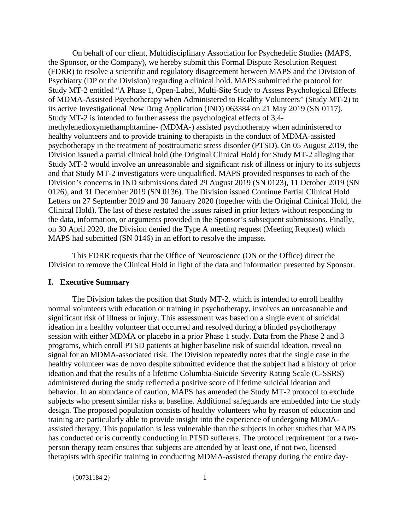On behalf of our client, Multidisciplinary Association for Psychedelic Studies (MAPS, the Sponsor, or the Company), we hereby submit this Formal Dispute Resolution Request (FDRR) to resolve a scientific and regulatory disagreement between MAPS and the Division of Psychiatry (DP or the Division) regarding a clinical hold. MAPS submitted the protocol for Study MT-2 entitled "A Phase 1, Open-Label, Multi-Site Study to Assess Psychological Effects of MDMA-Assisted Psychotherapy when Administered to Healthy Volunteers" (Study MT-2) to its active Investigational New Drug Application (IND) 063384 on 21 May 2019 (SN 0117). Study MT-2 is intended to further assess the psychological effects of 3,4 methylenedioxymethamphtamine- (MDMA-) assisted psychotherapy when administered to healthy volunteers and to provide training to therapists in the conduct of MDMA-assisted psychotherapy in the treatment of posttraumatic stress disorder (PTSD). On 05 August 2019, the Division issued a partial clinical hold (the Original Clinical Hold) for Study MT-2 alleging that Study MT-2 would involve an unreasonable and significant risk of illness or injury to its subjects and that Study MT-2 investigators were unqualified. MAPS provided responses to each of the Division's concerns in IND submissions dated 29 August 2019 (SN 0123), 11 October 2019 (SN 0126), and 31 December 2019 (SN 0136). The Division issued Continue Partial Clinical Hold Letters on 27 September 2019 and 30 January 2020 (together with the Original Clinical Hold, the Clinical Hold). The last of these restated the issues raised in prior letters without responding to the data, information, or arguments provided in the Sponsor's subsequent submissions. Finally, on 30 April 2020, the Division denied the Type A meeting request (Meeting Request) which MAPS had submitted (SN 0146) in an effort to resolve the impasse.

This FDRR requests that the Office of Neuroscience (ON or the Office) direct the Division to remove the Clinical Hold in light of the data and information presented by Sponsor.

#### **I. Executive Summary**

The Division takes the position that Study MT-2, which is intended to enroll healthy normal volunteers with education or training in psychotherapy, involves an unreasonable and significant risk of illness or injury. This assessment was based on a single event of suicidal ideation in a healthy volunteer that occurred and resolved during a blinded psychotherapy session with either MDMA or placebo in a prior Phase 1 study. Data from the Phase 2 and 3 programs, which enroll PTSD patients at higher baseline risk of suicidal ideation, reveal no signal for an MDMA-associated risk. The Division repeatedly notes that the single case in the healthy volunteer was de novo despite submitted evidence that the subject had a history of prior ideation and that the results of a lifetime Columbia-Suicide Severity Rating Scale (C-SSRS) administered during the study reflected a positive score of lifetime suicidal ideation and behavior. In an abundance of caution, MAPS has amended the Study MT-2 protocol to exclude subjects who present similar risks at baseline. Additional safeguards are embedded into the study design. The proposed population consists of healthy volunteers who by reason of education and training are particularly able to provide insight into the experience of undergoing MDMAassisted therapy. This population is less vulnerable than the subjects in other studies that MAPS has conducted or is currently conducting in PTSD sufferers. The protocol requirement for a twoperson therapy team ensures that subjects are attended by at least one, if not two, licensed therapists with specific training in conducting MDMA-assisted therapy during the entire day-

{00731184 2} 1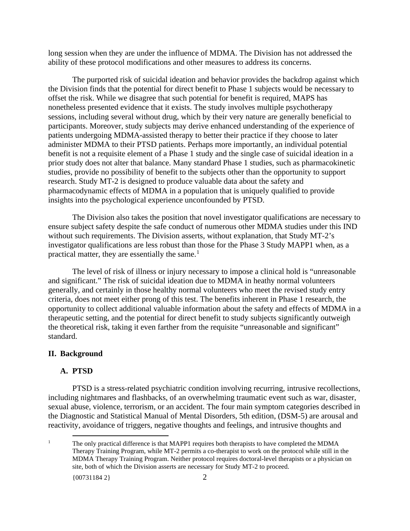long session when they are under the influence of MDMA. The Division has not addressed the ability of these protocol modifications and other measures to address its concerns.

The purported risk of suicidal ideation and behavior provides the backdrop against which the Division finds that the potential for direct benefit to Phase 1 subjects would be necessary to offset the risk. While we disagree that such potential for benefit is required, MAPS has nonetheless presented evidence that it exists. The study involves multiple psychotherapy sessions, including several without drug, which by their very nature are generally beneficial to participants. Moreover, study subjects may derive enhanced understanding of the experience of patients undergoing MDMA-assisted therapy to better their practice if they choose to later administer MDMA to their PTSD patients. Perhaps more importantly, an individual potential benefit is not a requisite element of a Phase 1 study and the single case of suicidal ideation in a prior study does not alter that balance. Many standard Phase 1 studies, such as pharmacokinetic studies, provide no possibility of benefit to the subjects other than the opportunity to support research. Study MT-2 is designed to produce valuable data about the safety and pharmacodynamic effects of MDMA in a population that is uniquely qualified to provide insights into the psychological experience unconfounded by PTSD.

The Division also takes the position that novel investigator qualifications are necessary to ensure subject safety despite the safe conduct of numerous other MDMA studies under this IND without such requirements. The Division asserts, without explanation, that Study MT-2's investigator qualifications are less robust than those for the Phase 3 Study MAPP1 when, as a practical matter, they are essentially the same. $<sup>1</sup>$ </sup>

The level of risk of illness or injury necessary to impose a clinical hold is "unreasonable and significant." The risk of suicidal ideation due to MDMA in heathy normal volunteers generally, and certainly in those healthy normal volunteers who meet the revised study entry criteria, does not meet either prong of this test. The benefits inherent in Phase 1 research, the opportunity to collect additional valuable information about the safety and effects of MDMA in a therapeutic setting, and the potential for direct benefit to study subjects significantly outweigh the theoretical risk, taking it even farther from the requisite "unreasonable and significant" standard.

## **II. Background**

#### **A. PTSD**

PTSD is a stress-related psychiatric condition involving recurring, intrusive recollections, including nightmares and flashbacks, of an overwhelming traumatic event such as war, disaster, sexual abuse, violence, terrorism, or an accident. The four main symptom categories described in the Diagnostic and Statistical Manual of Mental Disorders, 5th edition, (DSM-5) are arousal and reactivity, avoidance of triggers, negative thoughts and feelings, and intrusive thoughts and

<sup>1</sup> The only practical difference is that MAPP1 requires both therapists to have completed the MDMA Therapy Training Program, while MT-2 permits a co-therapist to work on the protocol while still in the MDMA Therapy Training Program. Neither protocol requires doctoral-level therapists or a physician on site, both of which the Division asserts are necessary for Study MT-2 to proceed.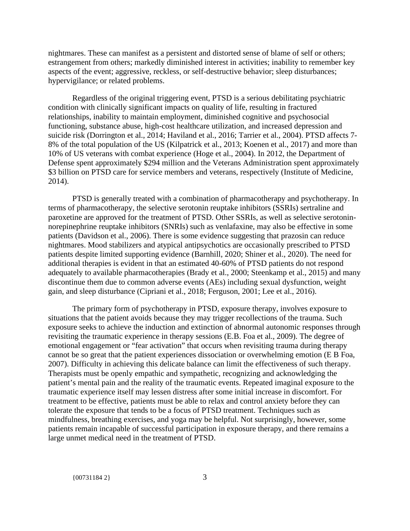nightmares. These can manifest as a persistent and distorted sense of blame of self or others; estrangement from others; markedly diminished interest in activities; inability to remember key aspects of the event; aggressive, reckless, or self-destructive behavior; sleep disturbances; hypervigilance; or related problems.

Regardless of the original triggering event, PTSD is a serious debilitating psychiatric condition with clinically significant impacts on quality of life, resulting in fractured relationships, inability to maintain employment, diminished cognitive and psychosocial functioning, substance abuse, high-cost healthcare utilization, and increased depression and suicide risk (Dorrington et al., 2014; Haviland et al., 2016; Tarrier et al., 2004). PTSD affects 7- 8% of the total population of the US (Kilpatrick et al., 2013; Koenen et al., 2017) and more than 10% of US veterans with combat experience (Hoge et al., 2004). In 2012, the Department of Defense spent approximately \$294 million and the Veterans Administration spent approximately \$3 billion on PTSD care for service members and veterans, respectively (Institute of Medicine, 2014).

PTSD is generally treated with a combination of pharmacotherapy and psychotherapy. In terms of pharmacotherapy, the selective serotonin reuptake inhibitors (SSRIs) sertraline and paroxetine are approved for the treatment of PTSD. Other SSRIs, as well as selective serotoninnorepinephrine reuptake inhibitors (SNRIs) such as venlafaxine, may also be effective in some patients (Davidson et al., 2006). There is some evidence suggesting that prazosin can reduce nightmares. Mood stabilizers and atypical antipsychotics are occasionally prescribed to PTSD patients despite limited supporting evidence (Barnhill, 2020; Shiner et al., 2020). The need for additional therapies is evident in that an estimated 40-60% of PTSD patients do not respond adequately to available pharmacotherapies (Brady et al., 2000; Steenkamp et al., 2015) and many discontinue them due to common adverse events (AEs) including sexual dysfunction, weight gain, and sleep disturbance (Cipriani et al., 2018; Ferguson, 2001; Lee et al., 2016).

The primary form of psychotherapy in PTSD, exposure therapy, involves exposure to situations that the patient avoids because they may trigger recollections of the trauma. Such exposure seeks to achieve the induction and extinction of abnormal autonomic responses through revisiting the traumatic experience in therapy sessions (E.B. Foa et al., 2009). The degree of emotional engagement or "fear activation" that occurs when revisiting trauma during therapy cannot be so great that the patient experiences dissociation or overwhelming emotion (E B Foa, 2007). Difficulty in achieving this delicate balance can limit the effectiveness of such therapy. Therapists must be openly empathic and sympathetic, recognizing and acknowledging the patient's mental pain and the reality of the traumatic events. Repeated imaginal exposure to the traumatic experience itself may lessen distress after some initial increase in discomfort. For treatment to be effective, patients must be able to relax and control anxiety before they can tolerate the exposure that tends to be a focus of PTSD treatment. Techniques such as mindfulness, breathing exercises, and yoga may be helpful. Not surprisingly, however, some patients remain incapable of successful participation in exposure therapy, and there remains a large unmet medical need in the treatment of PTSD.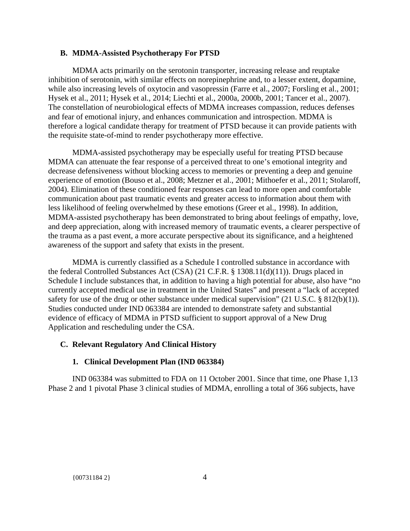## **B. MDMA-Assisted Psychotherapy For PTSD**

MDMA acts primarily on the serotonin transporter, increasing release and reuptake inhibition of serotonin, with similar effects on norepinephrine and, to a lesser extent, dopamine, while also increasing levels of oxytocin and vasopressin (Farre et al., 2007; Forsling et al., 2001; Hysek et al., 2011; Hysek et al., 2014; Liechti et al., 2000a, 2000b, 2001; Tancer et al., 2007). The constellation of neurobiological effects of MDMA increases compassion, reduces defenses and fear of emotional injury, and enhances communication and introspection. MDMA is therefore a logical candidate therapy for treatment of PTSD because it can provide patients with the requisite state-of-mind to render psychotherapy more effective.

MDMA-assisted psychotherapy may be especially useful for treating PTSD because MDMA can attenuate the fear response of a perceived threat to one's emotional integrity and decrease defensiveness without blocking access to memories or preventing a deep and genuine experience of emotion (Bouso et al., 2008; Metzner et al., 2001; Mithoefer et al., 2011; Stolaroff, 2004). Elimination of these conditioned fear responses can lead to more open and comfortable communication about past traumatic events and greater access to information about them with less likelihood of feeling overwhelmed by these emotions (Greer et al., 1998). In addition, MDMA-assisted psychotherapy has been demonstrated to bring about feelings of empathy, love, and deep appreciation, along with increased memory of traumatic events, a clearer perspective of the trauma as a past event, a more accurate perspective about its significance, and a heightened awareness of the support and safety that exists in the present.

MDMA is currently classified as a Schedule I controlled substance in accordance with the federal Controlled Substances Act (CSA) (21 C.F.R. § 1308.11(d)(11)). Drugs placed in Schedule I include substances that, in addition to having a high potential for abuse, also have "no currently accepted medical use in treatment in the United States" and present a "lack of accepted safety for use of the drug or other substance under medical supervision" (21 U.S.C. § 812(b)(1)). Studies conducted under IND 063384 are intended to demonstrate safety and substantial evidence of efficacy of MDMA in PTSD sufficient to support approval of a New Drug Application and rescheduling under the CSA.

## **C. Relevant Regulatory And Clinical History**

#### **1. Clinical Development Plan (IND 063384)**

IND 063384 was submitted to FDA on 11 October 2001. Since that time, one Phase 1,13 Phase 2 and 1 pivotal Phase 3 clinical studies of MDMA, enrolling a total of 366 subjects, have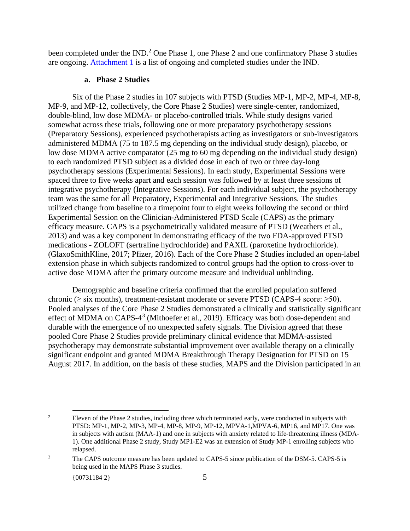been completed under the IND.<sup>2</sup> One Phase 1, one Phase 2 and one confirmatory Phase 3 studies are ongoing. Attachment 1 is a list of ongoing and completed studies under the IND.

#### **a. Phase 2 Studies**

Six of the Phase 2 studies in 107 subjects with PTSD (Studies MP-1, MP-2, MP-4, MP-8, MP-9, and MP-12, collectively, the Core Phase 2 Studies) were single-center, randomized, double-blind, low dose MDMA- or placebo-controlled trials. While study designs varied somewhat across these trials, following one or more preparatory psychotherapy sessions (Preparatory Sessions), experienced psychotherapists acting as investigators or sub-investigators administered MDMA (75 to 187.5 mg depending on the individual study design), placebo, or low dose MDMA active comparator (25 mg to 60 mg depending on the individual study design) to each randomized PTSD subject as a divided dose in each of two or three day-long psychotherapy sessions (Experimental Sessions). In each study, Experimental Sessions were spaced three to five weeks apart and each session was followed by at least three sessions of integrative psychotherapy (Integrative Sessions). For each individual subject, the psychotherapy team was the same for all Preparatory, Experimental and Integrative Sessions. The studies utilized change from baseline to a timepoint four to eight weeks following the second or third Experimental Session on the Clinician-Administered PTSD Scale (CAPS) as the primary efficacy measure. CAPS is a psychometrically validated measure of PTSD (Weathers et al., 2013) and was a key component in demonstrating efficacy of the two FDA-approved PTSD medications - ZOLOFT (sertraline hydrochloride) and PAXIL (paroxetine hydrochloride). (GlaxoSmithKline, 2017; Pfizer, 2016). Each of the Core Phase 2 Studies included an open-label extension phase in which subjects randomized to control groups had the option to cross-over to active dose MDMA after the primary outcome measure and individual unblinding.

Demographic and baseline criteria confirmed that the enrolled population suffered chronic (≥ six months), treatment-resistant moderate or severe PTSD (CAPS-4 score: ≥50). Pooled analyses of the Core Phase 2 Studies demonstrated a clinically and statistically significant effect of MDMA on CAPS-4<sup>3</sup> (Mithoefer et al., 2019). Efficacy was both dose-dependent and durable with the emergence of no unexpected safety signals. The Division agreed that these pooled Core Phase 2 Studies provide preliminary clinical evidence that MDMA-assisted psychotherapy may demonstrate substantial improvement over available therapy on a clinically significant endpoint and granted MDMA Breakthrough Therapy Designation for PTSD on 15 August 2017. In addition, on the basis of these studies, MAPS and the Division participated in an

<sup>&</sup>lt;sup>2</sup> Eleven of the Phase 2 studies, including three which terminated early, were conducted in subjects with PTSD: MP-1, MP-2, MP-3, MP-4, MP-8, MP-9, MP-12, MPVA-1,MPVA-6, MP16, and MP17. One was in subjects with autism (MAA-1) and one in subjects with anxiety related to life-threatening illness (MDA-1). One additional Phase 2 study, Study MP1-E2 was an extension of Study MP-1 enrolling subjects who relapsed.

<sup>&</sup>lt;sup>3</sup> The CAPS outcome measure has been updated to CAPS-5 since publication of the DSM-5. CAPS-5 is being used in the MAPS Phase 3 studies.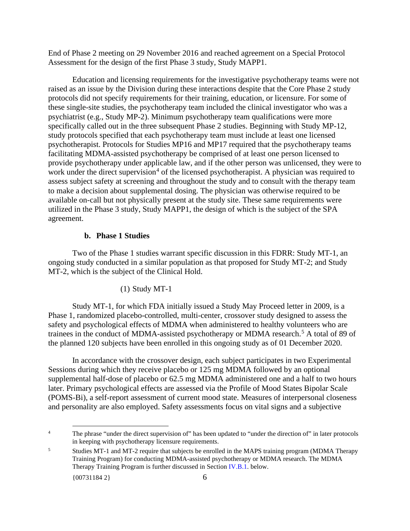End of Phase 2 meeting on 29 November 2016 and reached agreement on a Special Protocol Assessment for the design of the first Phase 3 study, Study MAPP1.

Education and licensing requirements for the investigative psychotherapy teams were not raised as an issue by the Division during these interactions despite that the Core Phase 2 study protocols did not specify requirements for their training, education, or licensure. For some of these single-site studies, the psychotherapy team included the clinical investigator who was a psychiatrist (e.g., Study MP-2). Minimum psychotherapy team qualifications were more specifically called out in the three subsequent Phase 2 studies. Beginning with Study MP-12, study protocols specified that each psychotherapy team must include at least one licensed psychotherapist. Protocols for Studies MP16 and MP17 required that the psychotherapy teams facilitating MDMA-assisted psychotherapy be comprised of at least one person licensed to provide psychotherapy under applicable law, and if the other person was unlicensed, they were to work under the direct supervision<sup>4</sup> of the licensed psychotherapist. A physician was required to assess subject safety at screening and throughout the study and to consult with the therapy team to make a decision about supplemental dosing. The physician was otherwise required to be available on-call but not physically present at the study site. These same requirements were utilized in the Phase 3 study, Study MAPP1, the design of which is the subject of the SPA agreement.

## **b. Phase 1 Studies**

Two of the Phase 1 studies warrant specific discussion in this FDRR: Study MT-1, an ongoing study conducted in a similar population as that proposed for Study MT-2; and Study MT-2, which is the subject of the Clinical Hold.

## (1) Study MT-1

Study MT-1, for which FDA initially issued a Study May Proceed letter in 2009, is a Phase 1, randomized placebo-controlled, multi-center, crossover study designed to assess the safety and psychological effects of MDMA when administered to healthy volunteers who are trainees in the conduct of MDMA-assisted psychotherapy or MDMA research. <sup>5</sup> A total of 89 of the planned 120 subjects have been enrolled in this ongoing study as of 01 December 2020.

In accordance with the crossover design, each subject participates in two Experimental Sessions during which they receive placebo or 125 mg MDMA followed by an optional supplemental half-dose of placebo or 62.5 mg MDMA administered one and a half to two hours later. Primary psychological effects are assessed via the Profile of Mood States Bipolar Scale (POMS-Bi), a self-report assessment of current mood state. Measures of interpersonal closeness and personality are also employed. Safety assessments focus on vital signs and a subjective

<sup>4</sup> The phrase "under the direct supervision of" has been updated to "under the direction of" in later protocols in keeping with psychotherapy licensure requirements.

<sup>5</sup> Studies MT-1 and MT-2 require that subjects be enrolled in the MAPS training program (MDMA Therapy Training Program) for conducting MDMA-assisted psychotherapy or MDMA research. The MDMA Therapy Training Program is further discussed in Section IV.B.1. below.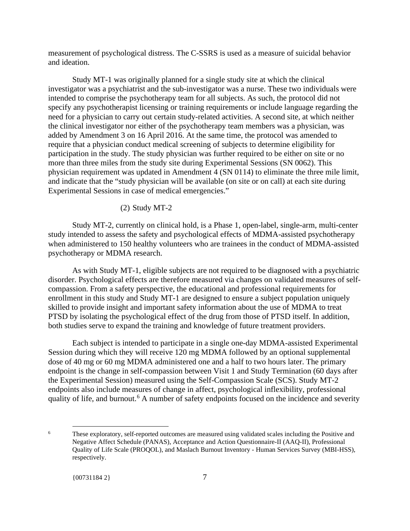measurement of psychological distress. The C-SSRS is used as a measure of suicidal behavior and ideation.

Study MT-1 was originally planned for a single study site at which the clinical investigator was a psychiatrist and the sub-investigator was a nurse. These two individuals were intended to comprise the psychotherapy team for all subjects. As such, the protocol did not specify any psychotherapist licensing or training requirements or include language regarding the need for a physician to carry out certain study-related activities. A second site, at which neither the clinical investigator nor either of the psychotherapy team members was a physician, was added by Amendment 3 on 16 April 2016. At the same time, the protocol was amended to require that a physician conduct medical screening of subjects to determine eligibility for participation in the study. The study physician was further required to be either on site or no more than three miles from the study site during Experimental Sessions (SN 0062). This physician requirement was updated in Amendment 4 (SN 0114) to eliminate the three mile limit, and indicate that the "study physician will be available (on site or on call) at each site during Experimental Sessions in case of medical emergencies."

#### (2) Study MT-2

Study MT-2, currently on clinical hold, is a Phase 1, open-label, single-arm, multi-center study intended to assess the safety and psychological effects of MDMA-assisted psychotherapy when administered to 150 healthy volunteers who are trainees in the conduct of MDMA-assisted psychotherapy or MDMA research.

As with Study MT-1, eligible subjects are not required to be diagnosed with a psychiatric disorder. Psychological effects are therefore measured via changes on validated measures of selfcompassion. From a safety perspective, the educational and professional requirements for enrollment in this study and Study MT-1 are designed to ensure a subject population uniquely skilled to provide insight and important safety information about the use of MDMA to treat PTSD by isolating the psychological effect of the drug from those of PTSD itself. In addition, both studies serve to expand the training and knowledge of future treatment providers.

Each subject is intended to participate in a single one-day MDMA-assisted Experimental Session during which they will receive 120 mg MDMA followed by an optional supplemental dose of 40 mg or 60 mg MDMA administered one and a half to two hours later. The primary endpoint is the change in self-compassion between Visit 1 and Study Termination (60 days after the Experimental Session) measured using the Self-Compassion Scale (SCS). Study MT-2 endpoints also include measures of change in affect, psychological inflexibility, professional quality of life, and burnout.<sup>6</sup> A number of safety endpoints focused on the incidence and severity

<sup>6</sup> These exploratory, self-reported outcomes are measured using validated scales including the Positive and Negative Affect Schedule (PANAS), Acceptance and Action Questionnaire-II (AAQ-II), Professional Quality of Life Scale (PROQOL), and Maslach Burnout Inventory - Human Services Survey (MBI-HSS), respectively.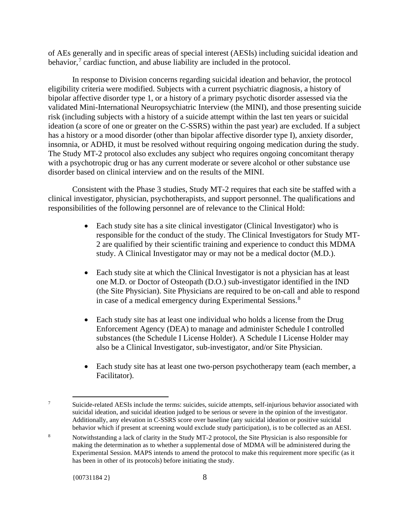of AEs generally and in specific areas of special interest (AESIs) including suicidal ideation and behavior,<sup>7</sup> cardiac function, and abuse liability are included in the protocol.

In response to Division concerns regarding suicidal ideation and behavior, the protocol eligibility criteria were modified. Subjects with a current psychiatric diagnosis, a history of bipolar affective disorder type 1, or a history of a primary psychotic disorder assessed via the validated Mini-International Neuropsychiatric Interview (the MINI), and those presenting suicide risk (including subjects with a history of a suicide attempt within the last ten years or suicidal ideation (a score of one or greater on the C-SSRS) within the past year) are excluded. If a subject has a history or a mood disorder (other than bipolar affective disorder type I), anxiety disorder, insomnia, or ADHD, it must be resolved without requiring ongoing medication during the study. The Study MT-2 protocol also excludes any subject who requires ongoing concomitant therapy with a psychotropic drug or has any current moderate or severe alcohol or other substance use disorder based on clinical interview and on the results of the MINI.

Consistent with the Phase 3 studies, Study MT-2 requires that each site be staffed with a clinical investigator, physician, psychotherapists, and support personnel. The qualifications and responsibilities of the following personnel are of relevance to the Clinical Hold:

- Each study site has a site clinical investigator (Clinical Investigator) who is responsible for the conduct of the study. The Clinical Investigators for Study MT-2 are qualified by their scientific training and experience to conduct this MDMA study. A Clinical Investigator may or may not be a medical doctor (M.D.).
- Each study site at which the Clinical Investigator is not a physician has at least one M.D. or Doctor of Osteopath (D.O.) sub-investigator identified in the IND (the Site Physician). Site Physicians are required to be on-call and able to respond in case of a medical emergency during Experimental Sessions.<sup>8</sup>
- Each study site has at least one individual who holds a license from the Drug Enforcement Agency (DEA) to manage and administer Schedule I controlled substances (the Schedule I License Holder). A Schedule I License Holder may also be a Clinical Investigator, sub-investigator, and/or Site Physician.
- Each study site has at least one two-person psychotherapy team (each member, a Facilitator).

<sup>7</sup> Suicide-related AESIs include the terms: suicides, suicide attempts, self-injurious behavior associated with suicidal ideation, and suicidal ideation judged to be serious or severe in the opinion of the investigator. Additionally, any elevation in C-SSRS score over baseline (any suicidal ideation or positive suicidal behavior which if present at screening would exclude study participation), is to be collected as an AESI.

<sup>8</sup> Notwithstanding a lack of clarity in the Study MT-2 protocol, the Site Physician is also responsible for making the determination as to whether a supplemental dose of MDMA will be administered during the Experimental Session. MAPS intends to amend the protocol to make this requirement more specific (as it has been in other of its protocols) before initiating the study.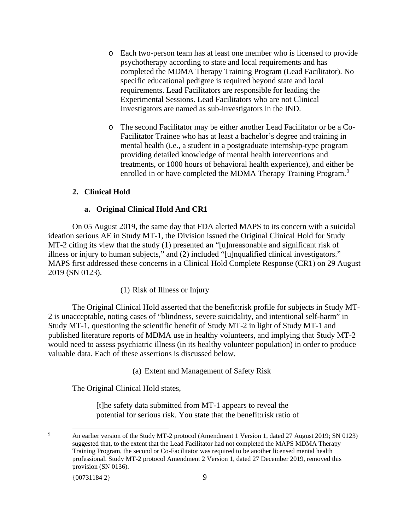- o Each two-person team has at least one member who is licensed to provide psychotherapy according to state and local requirements and has completed the MDMA Therapy Training Program (Lead Facilitator). No specific educational pedigree is required beyond state and local requirements. Lead Facilitators are responsible for leading the Experimental Sessions. Lead Facilitators who are not Clinical Investigators are named as sub-investigators in the IND.
- o The second Facilitator may be either another Lead Facilitator or be a Co-Facilitator Trainee who has at least a bachelor's degree and training in mental health (i.e., a student in a postgraduate internship-type program providing detailed knowledge of mental health interventions and treatments, or 1000 hours of behavioral health experience), and either be enrolled in or have completed the MDMA Therapy Training Program.<sup>9</sup>

## **2. Clinical Hold**

## **a. Original Clinical Hold And CR1**

On 05 August 2019, the same day that FDA alerted MAPS to its concern with a suicidal ideation serious AE in Study MT-1, the Division issued the Original Clinical Hold for Study MT-2 citing its view that the study (1) presented an "[u]nreasonable and significant risk of illness or injury to human subjects," and (2) included "[u]nqualified clinical investigators." MAPS first addressed these concerns in a Clinical Hold Complete Response (CR1) on 29 August 2019 (SN 0123).

(1) Risk of Illness or Injury

The Original Clinical Hold asserted that the benefit:risk profile for subjects in Study MT-2 is unacceptable, noting cases of "blindness, severe suicidality, and intentional self-harm" in Study MT-1, questioning the scientific benefit of Study MT-2 in light of Study MT-1 and published literature reports of MDMA use in healthy volunteers, and implying that Study MT-2 would need to assess psychiatric illness (in its healthy volunteer population) in order to produce valuable data. Each of these assertions is discussed below.

(a) Extent and Management of Safety Risk

The Original Clinical Hold states,

[t]he safety data submitted from MT-1 appears to reveal the potential for serious risk. You state that the benefit:risk ratio of

<sup>9</sup> An earlier version of the Study MT-2 protocol (Amendment 1 Version 1, dated 27 August 2019; SN 0123) suggested that, to the extent that the Lead Facilitator had not completed the MAPS MDMA Therapy Training Program, the second or Co-Facilitator was required to be another licensed mental health professional. Study MT-2 protocol Amendment 2 Version 1, dated 27 December 2019, removed this provision (SN 0136).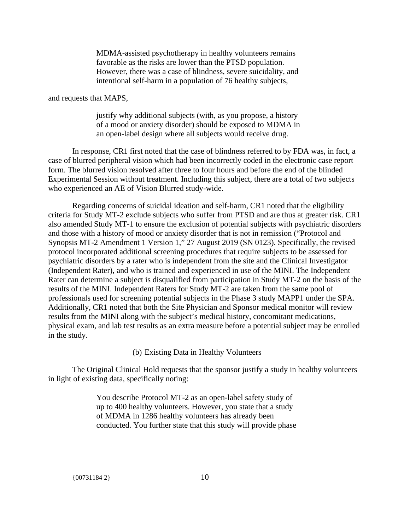MDMA-assisted psychotherapy in healthy volunteers remains favorable as the risks are lower than the PTSD population. However, there was a case of blindness, severe suicidality, and intentional self-harm in a population of 76 healthy subjects,

and requests that MAPS,

justify why additional subjects (with, as you propose, a history of a mood or anxiety disorder) should be exposed to MDMA in an open-label design where all subjects would receive drug.

In response, CR1 first noted that the case of blindness referred to by FDA was, in fact, a case of blurred peripheral vision which had been incorrectly coded in the electronic case report form. The blurred vision resolved after three to four hours and before the end of the blinded Experimental Session without treatment. Including this subject, there are a total of two subjects who experienced an AE of Vision Blurred study-wide.

Regarding concerns of suicidal ideation and self-harm, CR1 noted that the eligibility criteria for Study MT-2 exclude subjects who suffer from PTSD and are thus at greater risk. CR1 also amended Study MT-1 to ensure the exclusion of potential subjects with psychiatric disorders and those with a history of mood or anxiety disorder that is not in remission ("Protocol and Synopsis MT-2 Amendment 1 Version 1," 27 August 2019 (SN 0123). Specifically, the revised protocol incorporated additional screening procedures that require subjects to be assessed for psychiatric disorders by a rater who is independent from the site and the Clinical Investigator (Independent Rater), and who is trained and experienced in use of the MINI. The Independent Rater can determine a subject is disqualified from participation in Study MT-2 on the basis of the results of the MINI. Independent Raters for Study MT-2 are taken from the same pool of professionals used for screening potential subjects in the Phase 3 study MAPP1 under the SPA. Additionally, CR1 noted that both the Site Physician and Sponsor medical monitor will review results from the MINI along with the subject's medical history, concomitant medications, physical exam, and lab test results as an extra measure before a potential subject may be enrolled in the study.

(b) Existing Data in Healthy Volunteers

The Original Clinical Hold requests that the sponsor justify a study in healthy volunteers in light of existing data, specifically noting:

> You describe Protocol MT-2 as an open-label safety study of up to 400 healthy volunteers. However, you state that a study of MDMA in 1286 healthy volunteers has already been conducted. You further state that this study will provide phase

{00731184 2} 10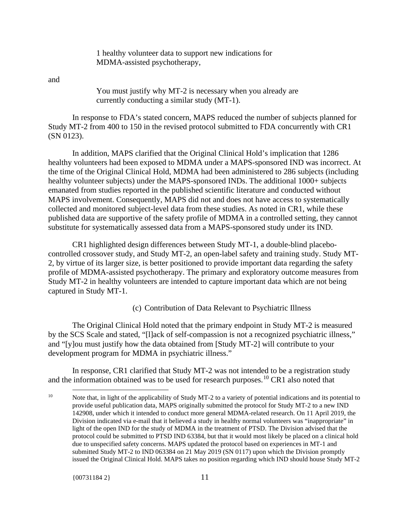1 healthy volunteer data to support new indications for MDMA-assisted psychotherapy,

and

You must justify why MT-2 is necessary when you already are currently conducting a similar study (MT-1).

In response to FDA's stated concern, MAPS reduced the number of subjects planned for Study MT-2 from 400 to 150 in the revised protocol submitted to FDA concurrently with CR1 (SN 0123).

In addition, MAPS clarified that the Original Clinical Hold's implication that 1286 healthy volunteers had been exposed to MDMA under a MAPS-sponsored IND was incorrect. At the time of the Original Clinical Hold, MDMA had been administered to 286 subjects (including healthy volunteer subjects) under the MAPS-sponsored INDs. The additional 1000+ subjects emanated from studies reported in the published scientific literature and conducted without MAPS involvement. Consequently, MAPS did not and does not have access to systematically collected and monitored subject-level data from these studies. As noted in CR1, while these published data are supportive of the safety profile of MDMA in a controlled setting, they cannot substitute for systematically assessed data from a MAPS-sponsored study under its IND.

CR1 highlighted design differences between Study MT-1, a double-blind placebocontrolled crossover study, and Study MT-2, an open-label safety and training study. Study MT-2, by virtue of its larger size, is better positioned to provide important data regarding the safety profile of MDMA-assisted psychotherapy. The primary and exploratory outcome measures from Study MT-2 in healthy volunteers are intended to capture important data which are not being captured in Study MT-1.

(c) Contribution of Data Relevant to Psychiatric Illness

The Original Clinical Hold noted that the primary endpoint in Study MT-2 is measured by the SCS Scale and stated, "[l]ack of self-compassion is not a recognized psychiatric illness," and "[y]ou must justify how the data obtained from [Study MT-2] will contribute to your development program for MDMA in psychiatric illness."

In response, CR1 clarified that Study MT-2 was not intended to be a registration study and the information obtained was to be used for research purposes.<sup>10</sup> CR1 also noted that

<sup>&</sup>lt;sup>10</sup> Note that, in light of the applicability of Study MT-2 to a variety of potential indications and its potential to provide useful publication data, MAPS originally submitted the protocol for Study MT-2 to a new IND 142908, under which it intended to conduct more general MDMA-related research. On 11 April 2019, the Division indicated via e-mail that it believed a study in healthy normal volunteers was "inappropriate" in light of the open IND for the study of MDMA in the treatment of PTSD. The Division advised that the protocol could be submitted to PTSD IND 63384, but that it would most likely be placed on a clinical hold due to unspecified safety concerns. MAPS updated the protocol based on experiences in MT-1 and submitted Study MT-2 to IND 063384 on 21 May 2019 (SN 0117) upon which the Division promptly issued the Original Clinical Hold. MAPS takes no position regarding which IND should house Study MT-2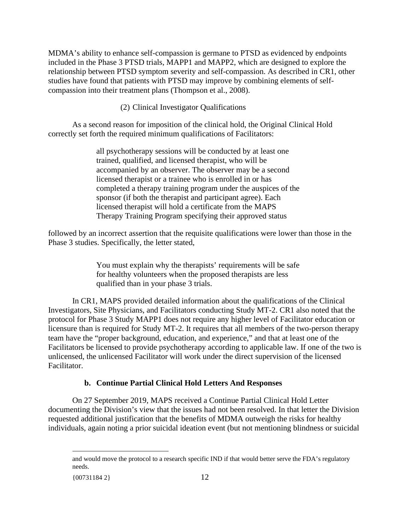MDMA's ability to enhance self-compassion is germane to PTSD as evidenced by endpoints included in the Phase 3 PTSD trials, MAPP1 and MAPP2, which are designed to explore the relationship between PTSD symptom severity and self-compassion. As described in CR1, other studies have found that patients with PTSD may improve by combining elements of selfcompassion into their treatment plans (Thompson et al., 2008).

(2) Clinical Investigator Qualifications

As a second reason for imposition of the clinical hold, the Original Clinical Hold correctly set forth the required minimum qualifications of Facilitators:

> all psychotherapy sessions will be conducted by at least one trained, qualified, and licensed therapist, who will be accompanied by an observer. The observer may be a second licensed therapist or a trainee who is enrolled in or has completed a therapy training program under the auspices of the sponsor (if both the therapist and participant agree). Each licensed therapist will hold a certificate from the MAPS Therapy Training Program specifying their approved status

followed by an incorrect assertion that the requisite qualifications were lower than those in the Phase 3 studies. Specifically, the letter stated,

> You must explain why the therapists' requirements will be safe for healthy volunteers when the proposed therapists are less qualified than in your phase 3 trials.

In CR1, MAPS provided detailed information about the qualifications of the Clinical Investigators, Site Physicians, and Facilitators conducting Study MT-2. CR1 also noted that the protocol for Phase 3 Study MAPP1 does not require any higher level of Facilitator education or licensure than is required for Study MT-2. It requires that all members of the two-person therapy team have the "proper background, education, and experience," and that at least one of the Facilitators be licensed to provide psychotherapy according to applicable law. If one of the two is unlicensed, the unlicensed Facilitator will work under the direct supervision of the licensed Facilitator.

## **b. Continue Partial Clinical Hold Letters And Responses**

On 27 September 2019, MAPS received a Continue Partial Clinical Hold Letter documenting the Division's view that the issues had not been resolved. In that letter the Division requested additional justification that the benefits of MDMA outweigh the risks for healthy individuals, again noting a prior suicidal ideation event (but not mentioning blindness or suicidal

and would move the protocol to a research specific IND if that would better serve the FDA's regulatory needs.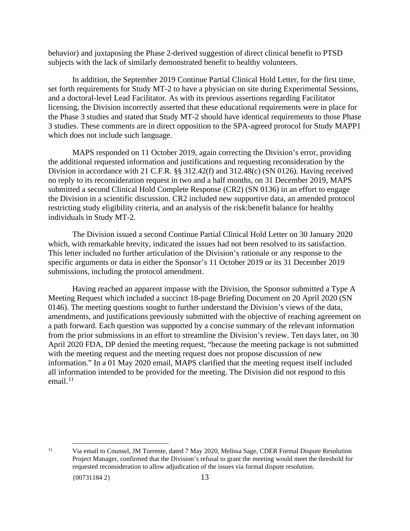behavior) and juxtaposing the Phase 2-derived suggestion of direct clinical benefit to PTSD subjects with the lack of similarly demonstrated benefit to healthy volunteers.

In addition, the September 2019 Continue Partial Clinical Hold Letter, for the first time, set forth requirements for Study MT-2 to have a physician on site during Experimental Sessions, and a doctoral-level Lead Facilitator. As with its previous assertions regarding Facilitator licensing, the Division incorrectly asserted that these educational requirements were in place for the Phase 3 studies and stated that Study MT-2 should have identical requirements to those Phase 3 studies. These comments are in direct opposition to the SPA-agreed protocol for Study MAPP1 which does not include such language.

MAPS responded on 11 October 2019, again correcting the Division's error, providing the additional requested information and justifications and requesting reconsideration by the Division in accordance with 21 C.F.R. §§ 312.42(f) and 312.48(c) (SN 0126). Having received no reply to its reconsideration request in two and a half months, on 31 December 2019, MAPS submitted a second Clinical Hold Complete Response (CR2) (SN 0136) in an effort to engage the Division in a scientific discussion. CR2 included new supportive data, an amended protocol restricting study eligibility criteria, and an analysis of the risk:benefit balance for healthy individuals in Study MT-2.

The Division issued a second Continue Partial Clinical Hold Letter on 30 January 2020 which, with remarkable brevity, indicated the issues had not been resolved to its satisfaction. This letter included no further articulation of the Division's rationale or any response to the specific arguments or data in either the Sponsor's 11 October 2019 or its 31 December 2019 submissions, including the protocol amendment.

Having reached an apparent impasse with the Division, the Sponsor submitted a Type A Meeting Request which included a succinct 18-page Briefing Document on 20 April 2020 (SN 0146). The meeting questions sought to further understand the Division's views of the data, amendments, and justifications previously submitted with the objective of reaching agreement on a path forward. Each question was supported by a concise summary of the relevant information from the prior submissions in an effort to streamline the Division's review. Ten days later, on 30 April 2020 FDA, DP denied the meeting request, "because the meeting package is not submitted with the meeting request and the meeting request does not propose discussion of new information." In a 01 May 2020 email, MAPS clarified that the meeting request itself included all information intended to be provided for the meeting. The Division did not respond to this email. $^{11}$ 

<sup>11</sup> Via email to Counsel, JM Torrente, dated 7 May 2020, Melissa Sage, CDER Formal Dispute Resolution Project Manager, confirmed that the Division's refusal to grant the meeting would meet the threshold for requested reconsideration to allow adjudication of the issues via formal dispute resolution.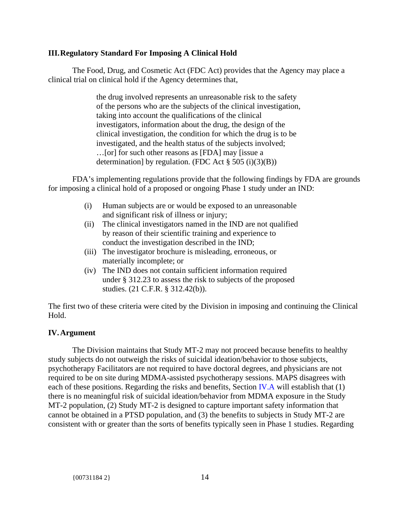## **III.Regulatory Standard For Imposing A Clinical Hold**

The Food, Drug, and Cosmetic Act (FDC Act) provides that the Agency may place a clinical trial on clinical hold if the Agency determines that,

> the drug involved represents an unreasonable risk to the safety of the persons who are the subjects of the clinical investigation, taking into account the qualifications of the clinical investigators, information about the drug, the design of the clinical investigation, the condition for which the drug is to be investigated, and the health status of the subjects involved; …[or] for such other reasons as [FDA] may [issue a determination] by regulation. (FDC Act  $\S 505$  (i)(3)(B))

FDA's implementing regulations provide that the following findings by FDA are grounds for imposing a clinical hold of a proposed or ongoing Phase 1 study under an IND:

- (i) Human subjects are or would be exposed to an unreasonable and significant risk of illness or injury;
- (ii) The clinical investigators named in the IND are not qualified by reason of their scientific training and experience to conduct the investigation described in the IND;
- (iii) The investigator brochure is misleading, erroneous, or materially incomplete; or
- (iv) The IND does not contain sufficient information required under § 312.23 to assess the risk to subjects of the proposed studies. (21 C.F.R. § 312.42(b)).

The first two of these criteria were cited by the Division in imposing and continuing the Clinical Hold.

# **IV.Argument**

The Division maintains that Study MT-2 may not proceed because benefits to healthy study subjects do not outweigh the risks of suicidal ideation/behavior to those subjects, psychotherapy Facilitators are not required to have doctoral degrees, and physicians are not required to be on site during MDMA-assisted psychotherapy sessions. MAPS disagrees with each of these positions. Regarding the risks and benefits, Section IV.A will establish that (1) there is no meaningful risk of suicidal ideation/behavior from MDMA exposure in the Study MT-2 population, (2) Study MT-2 is designed to capture important safety information that cannot be obtained in a PTSD population, and (3) the benefits to subjects in Study MT-2 are consistent with or greater than the sorts of benefits typically seen in Phase 1 studies. Regarding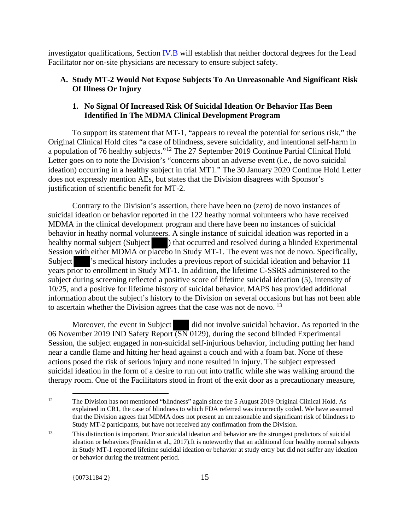investigator qualifications, Section IV.B will establish that neither doctoral degrees for the Lead Facilitator nor on-site physicians are necessary to ensure subject safety.

## **A. Study MT-2 Would Not Expose Subjects To An Unreasonable And Significant Risk Of Illness Or Injury**

## **1. No Signal Of Increased Risk Of Suicidal Ideation Or Behavior Has Been Identified In The MDMA Clinical Development Program**

To support its statement that MT-1, "appears to reveal the potential for serious risk," the Original Clinical Hold cites "a case of blindness, severe suicidality, and intentional self-harm in a population of 76 healthy subjects."12 The 27 September 2019 Continue Partial Clinical Hold Letter goes on to note the Division's "concerns about an adverse event (i.e., de novo suicidal ideation) occurring in a healthy subject in trial MT1." The 30 January 2020 Continue Hold Letter does not expressly mention AEs, but states that the Division disagrees with Sponsor's justification of scientific benefit for MT-2.

Contrary to the Division's assertion, there have been no (zero) de novo instances of suicidal ideation or behavior reported in the 122 heathy normal volunteers who have received MDMA in the clinical development program and there have been no instances of suicidal behavior in heathy normal volunteers. A single instance of suicidal ideation was reported in a healthy normal subject (Subject ) that occurred and resolved during a blinded Experimental Session with either MDMA or placebo in Study MT-1. The event was not de novo. Specifically, Subject 's medical history includes a previous report of suicidal ideation and behavior 11 years prior to enrollment in Study MT-1. In addition, the lifetime C-SSRS administered to the subject during screening reflected a positive score of lifetime suicidal ideation (5), intensity of 10/25, and a positive for lifetime history of suicidal behavior. MAPS has provided additional information about the subject's history to the Division on several occasions but has not been able to ascertain whether the Division agrees that the case was not de novo.<sup>13</sup>

Moreover, the event in Subject did not involve suicidal behavior. As reported in the 06 November 2019 IND Safety Report (SN 0129), during the second blinded Experimental Session, the subject engaged in non-suicidal self-injurious behavior, including putting her hand near a candle flame and hitting her head against a couch and with a foam bat. None of these actions posed the risk of serious injury and none resulted in injury. The subject expressed suicidal ideation in the form of a desire to run out into traffic while she was walking around the therapy room. One of the Facilitators stood in front of the exit door as a precautionary measure,

<sup>&</sup>lt;sup>12</sup> The Division has not mentioned "blindness" again since the 5 August 2019 Original Clinical Hold. As explained in CR1, the case of blindness to which FDA referred was incorrectly coded. We have assumed that the Division agrees that MDMA does not present an unreasonable and significant risk of blindness to Study MT-2 participants, but have not received any confirmation from the Division.

<sup>13</sup> This distinction is important. Prior suicidal ideation and behavior are the strongest predictors of suicidal ideation or behaviors (Franklin et al., 2017).It is noteworthy that an additional four healthy normal subjects in Study MT-1 reported lifetime suicidal ideation or behavior at study entry but did not suffer any ideation or behavior during the treatment period.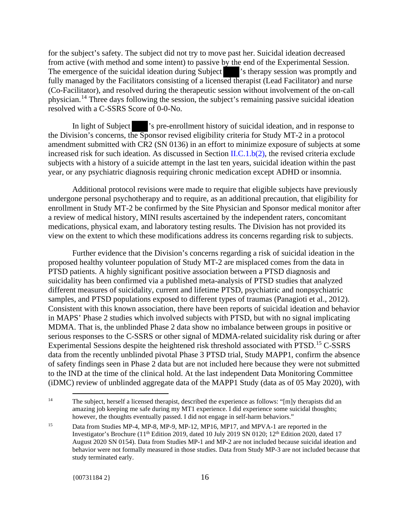for the subject's safety. The subject did not try to move past her. Suicidal ideation decreased from active (with method and some intent) to passive by the end of the Experimental Session. The emergence of the suicidal ideation during Subject  $\blacksquare$  's therapy session was promptly and fully managed by the Facilitators consisting of a licensed therapist (Lead Facilitator) and nurse (Co-Facilitator), and resolved during the therapeutic session without involvement of the on-call physician.<sup>14</sup> Three days following the session, the subject's remaining passive suicidal ideation resolved with a C-SSRS Score of 0-0-No.

In light of Subject 's pre-enrollment history of suicidal ideation, and in response to the Division's concerns, the Sponsor revised eligibility criteria for Study MT-2 in a protocol amendment submitted with CR2 (SN 0136) in an effort to minimize exposure of subjects at some increased risk for such ideation. As discussed in Section II.C.1.b(2), the revised criteria exclude subjects with a history of a suicide attempt in the last ten years, suicidal ideation within the past year, or any psychiatric diagnosis requiring chronic medication except ADHD or insomnia.

Additional protocol revisions were made to require that eligible subjects have previously undergone personal psychotherapy and to require, as an additional precaution, that eligibility for enrollment in Study MT-2 be confirmed by the Site Physician and Sponsor medical monitor after a review of medical history, MINI results ascertained by the independent raters, concomitant medications, physical exam, and laboratory testing results. The Division has not provided its view on the extent to which these modifications address its concerns regarding risk to subjects.

Further evidence that the Division's concerns regarding a risk of suicidal ideation in the proposed healthy volunteer population of Study MT-2 are misplaced comes from the data in PTSD patients. A highly significant positive association between a PTSD diagnosis and suicidality has been confirmed via a published meta-analysis of PTSD studies that analyzed different measures of suicidality, current and lifetime PTSD, psychiatric and nonpsychiatric samples, and PTSD populations exposed to different types of traumas (Panagioti et al., 2012). Consistent with this known association, there have been reports of suicidal ideation and behavior in MAPS' Phase 2 studies which involved subjects with PTSD, but with no signal implicating MDMA. That is, the unblinded Phase 2 data show no imbalance between groups in positive or serious responses to the C-SSRS or other signal of MDMA-related suicidality risk during or after Experimental Sessions despite the heightened risk threshold associated with PTSD.<sup>15</sup> C-SSRS data from the recently unblinded pivotal Phase 3 PTSD trial, Study MAPP1, confirm the absence of safety findings seen in Phase 2 data but are not included here because they were not submitted to the IND at the time of the clinical hold. At the last independent Data Monitoring Committee (iDMC) review of unblinded aggregate data of the MAPP1 Study (data as of 05 May 2020), with

<sup>&</sup>lt;sup>14</sup> The subject, herself a licensed therapist, described the experience as follows: "[m]y therapists did an amazing job keeping me safe during my MT1 experience. I did experience some suicidal thoughts; however, the thoughts eventually passed. I did not engage in self-harm behaviors."

<sup>&</sup>lt;sup>15</sup> Data from Studies MP-4, MP-8, MP-9, MP-12, MP16, MP17, and MPVA-1 are reported in the Investigator's Brochure (11<sup>th</sup> Edition 2019, dated 10 July 2019 SN 0120; 12<sup>th</sup> Edition 2020, dated 17 August 2020 SN 0154). Data from Studies MP-1 and MP-2 are not included because suicidal ideation and behavior were not formally measured in those studies. Data from Study MP-3 are not included because that study terminated early.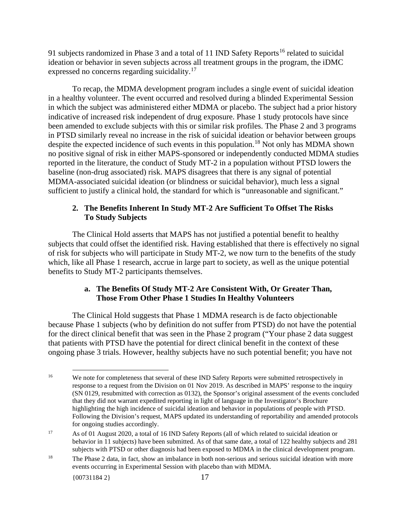91 subjects randomized in Phase 3 and a total of 11 IND Safety Reports<sup>16</sup> related to suicidal ideation or behavior in seven subjects across all treatment groups in the program, the iDMC expressed no concerns regarding suicidality.<sup>17</sup>

To recap, the MDMA development program includes a single event of suicidal ideation in a healthy volunteer. The event occurred and resolved during a blinded Experimental Session in which the subject was administered either MDMA or placebo. The subject had a prior history indicative of increased risk independent of drug exposure. Phase 1 study protocols have since been amended to exclude subjects with this or similar risk profiles. The Phase 2 and 3 programs in PTSD similarly reveal no increase in the risk of suicidal ideation or behavior between groups despite the expected incidence of such events in this population.<sup>18</sup> Not only has MDMA shown no positive signal of risk in either MAPS-sponsored or independently conducted MDMA studies reported in the literature, the conduct of Study MT-2 in a population without PTSD lowers the baseline (non-drug associated) risk. MAPS disagrees that there is any signal of potential MDMA-associated suicidal ideation (or blindness or suicidal behavior), much less a signal sufficient to justify a clinical hold, the standard for which is "unreasonable and significant."

# **2. The Benefits Inherent In Study MT-2 Are Sufficient To Offset The Risks To Study Subjects**

The Clinical Hold asserts that MAPS has not justified a potential benefit to healthy subjects that could offset the identified risk. Having established that there is effectively no signal of risk for subjects who will participate in Study MT-2, we now turn to the benefits of the study which, like all Phase 1 research, accrue in large part to society, as well as the unique potential benefits to Study MT-2 participants themselves.

# **a. The Benefits Of Study MT-2 Are Consistent With, Or Greater Than, Those From Other Phase 1 Studies In Healthy Volunteers**

The Clinical Hold suggests that Phase 1 MDMA research is de facto objectionable because Phase 1 subjects (who by definition do not suffer from PTSD) do not have the potential for the direct clinical benefit that was seen in the Phase 2 program ("Your phase 2 data suggest that patients with PTSD have the potential for direct clinical benefit in the context of these ongoing phase 3 trials. However, healthy subjects have no such potential benefit; you have not

<sup>&</sup>lt;sup>16</sup> We note for completeness that several of these IND Safety Reports were submitted retrospectively in response to a request from the Division on 01 Nov 2019. As described in MAPS' response to the inquiry (SN 0129, resubmitted with correction as 0132), the Sponsor's original assessment of the events concluded that they did not warrant expedited reporting in light of language in the Investigator's Brochure highlighting the high incidence of suicidal ideation and behavior in populations of people with PTSD. Following the Division's request, MAPS updated its understanding of reportability and amended protocols for ongoing studies accordingly.

<sup>17</sup> As of 01 August 2020, a total of 16 IND Safety Reports (all of which related to suicidal ideation or behavior in 11 subjects) have been submitted. As of that same date, a total of 122 healthy subjects and 281 subjects with PTSD or other diagnosis had been exposed to MDMA in the clinical development program.

<sup>&</sup>lt;sup>18</sup> The Phase 2 data, in fact, show an imbalance in both non-serious and serious suicidal ideation with more events occurring in Experimental Session with placebo than with MDMA.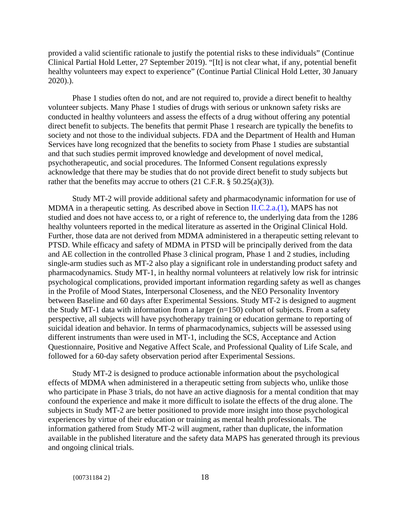provided a valid scientific rationale to justify the potential risks to these individuals" (Continue Clinical Partial Hold Letter, 27 September 2019). "[It] is not clear what, if any, potential benefit healthy volunteers may expect to experience" (Continue Partial Clinical Hold Letter, 30 January 2020).).

Phase 1 studies often do not, and are not required to, provide a direct benefit to healthy volunteer subjects. Many Phase 1 studies of drugs with serious or unknown safety risks are conducted in healthy volunteers and assess the effects of a drug without offering any potential direct benefit to subjects. The benefits that permit Phase 1 research are typically the benefits to society and not those to the individual subjects. FDA and the Department of Health and Human Services have long recognized that the benefits to society from Phase 1 studies are substantial and that such studies permit improved knowledge and development of novel medical, psychotherapeutic, and social procedures. The Informed Consent regulations expressly acknowledge that there may be studies that do not provide direct benefit to study subjects but rather that the benefits may accrue to others  $(21 \text{ C.F.R.} \S 50.25(a)(3))$ .

Study MT-2 will provide additional safety and pharmacodynamic information for use of MDMA in a therapeutic setting. As described above in Section II.C.2.a.(1), MAPS has not studied and does not have access to, or a right of reference to, the underlying data from the 1286 healthy volunteers reported in the medical literature as asserted in the Original Clinical Hold. Further, those data are not derived from MDMA administered in a therapeutic setting relevant to PTSD. While efficacy and safety of MDMA in PTSD will be principally derived from the data and AE collection in the controlled Phase 3 clinical program, Phase 1 and 2 studies, including single-arm studies such as MT-2 also play a significant role in understanding product safety and pharmacodynamics. Study MT-1, in healthy normal volunteers at relatively low risk for intrinsic psychological complications, provided important information regarding safety as well as changes in the Profile of Mood States, Interpersonal Closeness, and the NEO Personality Inventory between Baseline and 60 days after Experimental Sessions. Study MT-2 is designed to augment the Study MT-1 data with information from a larger (n=150) cohort of subjects. From a safety perspective, all subjects will have psychotherapy training or education germane to reporting of suicidal ideation and behavior. In terms of pharmacodynamics, subjects will be assessed using different instruments than were used in MT-1, including the SCS, Acceptance and Action Questionnaire, Positive and Negative Affect Scale, and Professional Quality of Life Scale, and followed for a 60-day safety observation period after Experimental Sessions.

Study MT-2 is designed to produce actionable information about the psychological effects of MDMA when administered in a therapeutic setting from subjects who, unlike those who participate in Phase 3 trials, do not have an active diagnosis for a mental condition that may confound the experience and make it more difficult to isolate the effects of the drug alone. The subjects in Study MT-2 are better positioned to provide more insight into those psychological experiences by virtue of their education or training as mental health professionals. The information gathered from Study MT-2 will augment, rather than duplicate, the information available in the published literature and the safety data MAPS has generated through its previous and ongoing clinical trials.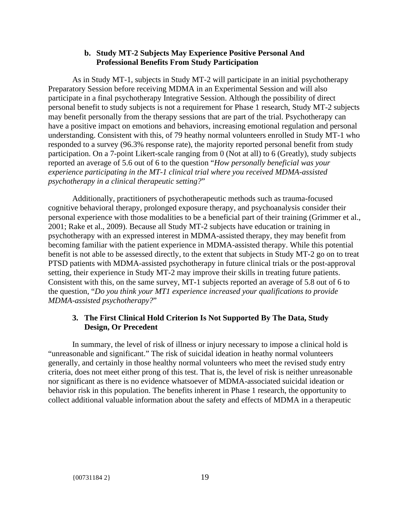## **b. Study MT-2 Subjects May Experience Positive Personal And Professional Benefits From Study Participation**

As in Study MT-1, subjects in Study MT-2 will participate in an initial psychotherapy Preparatory Session before receiving MDMA in an Experimental Session and will also participate in a final psychotherapy Integrative Session. Although the possibility of direct personal benefit to study subjects is not a requirement for Phase 1 research, Study MT-2 subjects may benefit personally from the therapy sessions that are part of the trial. Psychotherapy can have a positive impact on emotions and behaviors, increasing emotional regulation and personal understanding. Consistent with this, of 79 heathy normal volunteers enrolled in Study MT-1 who responded to a survey (96.3% response rate), the majority reported personal benefit from study participation. On a 7-point Likert-scale ranging from 0 (Not at all) to 6 (Greatly), study subjects reported an average of 5.6 out of 6 to the question "*How personally beneficial was your experience participating in the MT-1 clinical trial where you received MDMA-assisted psychotherapy in a clinical therapeutic setting?*"

Additionally, practitioners of psychotherapeutic methods such as trauma-focused cognitive behavioral therapy, prolonged exposure therapy, and psychoanalysis consider their personal experience with those modalities to be a beneficial part of their training (Grimmer et al., 2001; Rake et al., 2009). Because all Study MT-2 subjects have education or training in psychotherapy with an expressed interest in MDMA-assisted therapy, they may benefit from becoming familiar with the patient experience in MDMA-assisted therapy. While this potential benefit is not able to be assessed directly, to the extent that subjects in Study MT-2 go on to treat PTSD patients with MDMA-assisted psychotherapy in future clinical trials or the post-approval setting, their experience in Study MT-2 may improve their skills in treating future patients. Consistent with this, on the same survey, MT-1 subjects reported an average of 5.8 out of 6 to the question, "*Do you think your MT1 experience increased your qualifications to provide MDMA-assisted psychotherapy?*"

# **3. The First Clinical Hold Criterion Is Not Supported By The Data, Study Design, Or Precedent**

In summary, the level of risk of illness or injury necessary to impose a clinical hold is "unreasonable and significant." The risk of suicidal ideation in heathy normal volunteers generally, and certainly in those healthy normal volunteers who meet the revised study entry criteria, does not meet either prong of this test. That is, the level of risk is neither unreasonable nor significant as there is no evidence whatsoever of MDMA-associated suicidal ideation or behavior risk in this population. The benefits inherent in Phase 1 research, the opportunity to collect additional valuable information about the safety and effects of MDMA in a therapeutic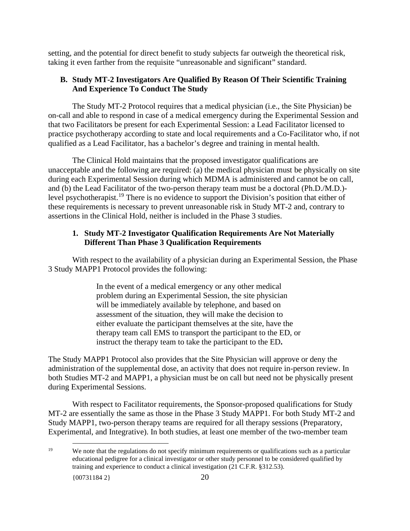setting, and the potential for direct benefit to study subjects far outweigh the theoretical risk, taking it even farther from the requisite "unreasonable and significant" standard.

# **B. Study MT-2 Investigators Are Qualified By Reason Of Their Scientific Training And Experience To Conduct The Study**

The Study MT-2 Protocol requires that a medical physician (i.e., the Site Physician) be on-call and able to respond in case of a medical emergency during the Experimental Session and that two Facilitators be present for each Experimental Session: a Lead Facilitator licensed to practice psychotherapy according to state and local requirements and a Co-Facilitator who, if not qualified as a Lead Facilitator, has a bachelor's degree and training in mental health.

The Clinical Hold maintains that the proposed investigator qualifications are unacceptable and the following are required: (a) the medical physician must be physically on site during each Experimental Session during which MDMA is administered and cannot be on call, and (b) the Lead Facilitator of the two-person therapy team must be a doctoral (Ph.D./M.D.) level psychotherapist.<sup>19</sup> There is no evidence to support the Division's position that either of these requirements is necessary to prevent unreasonable risk in Study MT-2 and, contrary to assertions in the Clinical Hold, neither is included in the Phase 3 studies.

# **1. Study MT-2 Investigator Qualification Requirements Are Not Materially Different Than Phase 3 Qualification Requirements**

With respect to the availability of a physician during an Experimental Session, the Phase 3 Study MAPP1 Protocol provides the following:

> In the event of a medical emergency or any other medical problem during an Experimental Session, the site physician will be immediately available by telephone, and based on assessment of the situation, they will make the decision to either evaluate the participant themselves at the site, have the therapy team call EMS to transport the participant to the ED, or instruct the therapy team to take the participant to the ED**.**

The Study MAPP1 Protocol also provides that the Site Physician will approve or deny the administration of the supplemental dose, an activity that does not require in-person review. In both Studies MT-2 and MAPP1, a physician must be on call but need not be physically present during Experimental Sessions.

With respect to Facilitator requirements, the Sponsor-proposed qualifications for Study MT-2 are essentially the same as those in the Phase 3 Study MAPP1. For both Study MT-2 and Study MAPP1, two-person therapy teams are required for all therapy sessions (Preparatory, Experimental, and Integrative). In both studies, at least one member of the two-member team

<sup>&</sup>lt;sup>19</sup> We note that the regulations do not specify minimum requirements or qualifications such as a particular educational pedigree for a clinical investigator or other study personnel to be considered qualified by training and experience to conduct a clinical investigation (21 C.F.R. §312.53).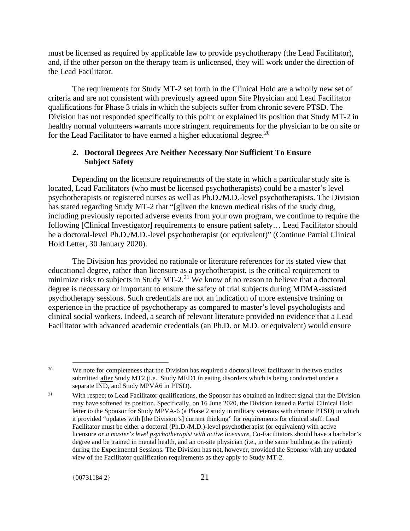must be licensed as required by applicable law to provide psychotherapy (the Lead Facilitator), and, if the other person on the therapy team is unlicensed, they will work under the direction of the Lead Facilitator.

The requirements for Study MT-2 set forth in the Clinical Hold are a wholly new set of criteria and are not consistent with previously agreed upon Site Physician and Lead Facilitator qualifications for Phase 3 trials in which the subjects suffer from chronic severe PTSD. The Division has not responded specifically to this point or explained its position that Study MT-2 in healthy normal volunteers warrants more stringent requirements for the physician to be on site or for the Lead Facilitator to have earned a higher educational degree.<sup>20</sup>

## **2. Doctoral Degrees Are Neither Necessary Nor Sufficient To Ensure Subject Safety**

Depending on the licensure requirements of the state in which a particular study site is located, Lead Facilitators (who must be licensed psychotherapists) could be a master's level psychotherapists or registered nurses as well as Ph.D./M.D.-level psychotherapists. The Division has stated regarding Study MT-2 that "[g]iven the known medical risks of the study drug, including previously reported adverse events from your own program, we continue to require the following [Clinical Investigator] requirements to ensure patient safety… Lead Facilitator should be a doctoral-level Ph.D./M.D.-level psychotherapist (or equivalent)" (Continue Partial Clinical Hold Letter, 30 January 2020).

The Division has provided no rationale or literature references for its stated view that educational degree, rather than licensure as a psychotherapist, is the critical requirement to minimize risks to subjects in Study MT-2.<sup>21</sup> We know of no reason to believe that a doctoral degree is necessary or important to ensure the safety of trial subjects during MDMA-assisted psychotherapy sessions. Such credentials are not an indication of more extensive training or experience in the practice of psychotherapy as compared to master's level psychologists and clinical social workers. Indeed, a search of relevant literature provided no evidence that a Lead Facilitator with advanced academic credentials (an Ph.D. or M.D. or equivalent) would ensure

<sup>&</sup>lt;sup>20</sup> We note for completeness that the Division has required a doctoral level facilitator in the two studies submitted after Study MT2 (i.e., Study MED1 in eating disorders which is being conducted under a separate IND, and Study MPVA6 in PTSD).

<sup>&</sup>lt;sup>21</sup> With respect to Lead Facilitator qualifications, the Sponsor has obtained an indirect signal that the Division may have softened its position. Specifically, on 16 June 2020, the Division issued a Partial Clinical Hold letter to the Sponsor for Study MPVA-6 (a Phase 2 study in military veterans with chronic PTSD) in which it provided "updates with [the Division's] current thinking" for requirements for clinical staff: Lead Facilitator must be either a doctoral (Ph.D./M.D.)-level psychotherapist (or equivalent) with active licensure *or a master's level psychotherapist with active licensure,* Co-Facilitators should have a bachelor's degree and be trained in mental health, and an on-site physician (i.e., in the same building as the patient) during the Experimental Sessions. The Division has not, however, provided the Sponsor with any updated view of the Facilitator qualification requirements as they apply to Study MT-2.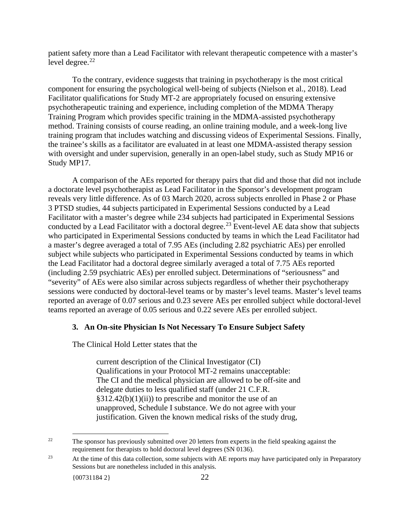patient safety more than a Lead Facilitator with relevant therapeutic competence with a master's level degree. $^{22}$ 

To the contrary, evidence suggests that training in psychotherapy is the most critical component for ensuring the psychological well-being of subjects (Nielson et al., 2018). Lead Facilitator qualifications for Study MT-2 are appropriately focused on ensuring extensive psychotherapeutic training and experience, including completion of the MDMA Therapy Training Program which provides specific training in the MDMA-assisted psychotherapy method. Training consists of course reading, an online training module, and a week-long live training program that includes watching and discussing videos of Experimental Sessions. Finally, the trainee's skills as a facilitator are evaluated in at least one MDMA-assisted therapy session with oversight and under supervision, generally in an open-label study, such as Study MP16 or Study MP17.

A comparison of the AEs reported for therapy pairs that did and those that did not include a doctorate level psychotherapist as Lead Facilitator in the Sponsor's development program reveals very little difference. As of 03 March 2020, across subjects enrolled in Phase 2 or Phase 3 PTSD studies, 44 subjects participated in Experimental Sessions conducted by a Lead Facilitator with a master's degree while 234 subjects had participated in Experimental Sessions conducted by a Lead Facilitator with a doctoral degree.<sup>23</sup> Event-level AE data show that subjects who participated in Experimental Sessions conducted by teams in which the Lead Facilitator had a master's degree averaged a total of 7.95 AEs (including 2.82 psychiatric AEs) per enrolled subject while subjects who participated in Experimental Sessions conducted by teams in which the Lead Facilitator had a doctoral degree similarly averaged a total of 7.75 AEs reported (including 2.59 psychiatric AEs) per enrolled subject. Determinations of "seriousness" and "severity" of AEs were also similar across subjects regardless of whether their psychotherapy sessions were conducted by doctoral-level teams or by master's level teams. Master's level teams reported an average of 0.07 serious and 0.23 severe AEs per enrolled subject while doctoral-level teams reported an average of 0.05 serious and 0.22 severe AEs per enrolled subject.

#### **3. An On-site Physician Is Not Necessary To Ensure Subject Safety**

The Clinical Hold Letter states that the

current description of the Clinical Investigator (CI) Qualifications in your Protocol MT-2 remains unacceptable: The CI and the medical physician are allowed to be off-site and delegate duties to less qualified staff (under 21 C.F.R.  $§312.42(b)(1)(ii)$  to prescribe and monitor the use of an unapproved, Schedule I substance. We do not agree with your justification. Given the known medical risks of the study drug,

<sup>&</sup>lt;sup>22</sup> The sponsor has previously submitted over 20 letters from experts in the field speaking against the requirement for therapists to hold doctoral level degrees (SN 0136).

<sup>&</sup>lt;sup>23</sup> At the time of this data collection, some subjects with AE reports may have participated only in Preparatory Sessions but are nonetheless included in this analysis.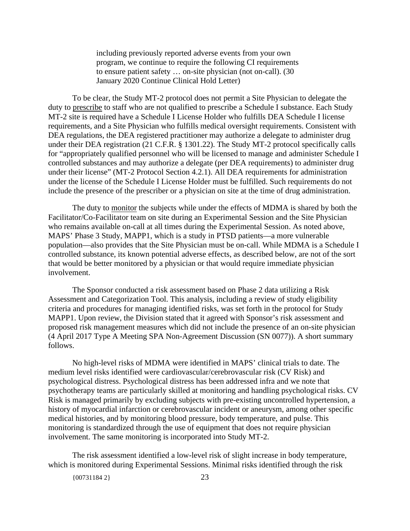including previously reported adverse events from your own program, we continue to require the following CI requirements to ensure patient safety … on-site physician (not on-call). (30 January 2020 Continue Clinical Hold Letter)

To be clear, the Study MT-2 protocol does not permit a Site Physician to delegate the duty to prescribe to staff who are not qualified to prescribe a Schedule I substance. Each Study MT-2 site is required have a Schedule I License Holder who fulfills DEA Schedule I license requirements, and a Site Physician who fulfills medical oversight requirements. Consistent with DEA regulations, the DEA registered practitioner may authorize a delegate to administer drug under their DEA registration (21 C.F.R. § 1301.22). The Study MT-2 protocol specifically calls for "appropriately qualified personnel who will be licensed to manage and administer Schedule I controlled substances and may authorize a delegate (per DEA requirements) to administer drug under their license" (MT-2 Protocol Section 4.2.1). All DEA requirements for administration under the license of the Schedule I License Holder must be fulfilled. Such requirements do not include the presence of the prescriber or a physician on site at the time of drug administration.

The duty to monitor the subjects while under the effects of MDMA is shared by both the Facilitator/Co-Facilitator team on site during an Experimental Session and the Site Physician who remains available on-call at all times during the Experimental Session. As noted above, MAPS' Phase 3 Study, MAPP1, which is a study in PTSD patients—a more vulnerable population—also provides that the Site Physician must be on-call. While MDMA is a Schedule I controlled substance, its known potential adverse effects, as described below, are not of the sort that would be better monitored by a physician or that would require immediate physician involvement.

The Sponsor conducted a risk assessment based on Phase 2 data utilizing a Risk Assessment and Categorization Tool. This analysis, including a review of study eligibility criteria and procedures for managing identified risks, was set forth in the protocol for Study MAPP1. Upon review, the Division stated that it agreed with Sponsor's risk assessment and proposed risk management measures which did not include the presence of an on-site physician (4 April 2017 Type A Meeting SPA Non-Agreement Discussion (SN 0077)). A short summary follows.

No high-level risks of MDMA were identified in MAPS' clinical trials to date. The medium level risks identified were cardiovascular/cerebrovascular risk (CV Risk) and psychological distress. Psychological distress has been addressed infra and we note that psychotherapy teams are particularly skilled at monitoring and handling psychological risks. CV Risk is managed primarily by excluding subjects with pre-existing uncontrolled hypertension, a history of myocardial infarction or cerebrovascular incident or aneurysm, among other specific medical histories, and by monitoring blood pressure, body temperature, and pulse. This monitoring is standardized through the use of equipment that does not require physician involvement. The same monitoring is incorporated into Study MT-2.

The risk assessment identified a low-level risk of slight increase in body temperature, which is monitored during Experimental Sessions. Minimal risks identified through the risk

{00731184 2} 23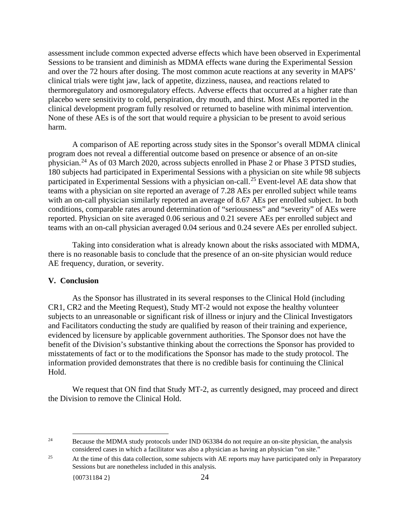assessment include common expected adverse effects which have been observed in Experimental Sessions to be transient and diminish as MDMA effects wane during the Experimental Session and over the 72 hours after dosing. The most common acute reactions at any severity in MAPS' clinical trials were tight jaw, lack of appetite, dizziness, nausea, and reactions related to thermoregulatory and osmoregulatory effects. Adverse effects that occurred at a higher rate than placebo were sensitivity to cold, perspiration, dry mouth, and thirst. Most AEs reported in the clinical development program fully resolved or returned to baseline with minimal intervention. None of these AEs is of the sort that would require a physician to be present to avoid serious harm.

A comparison of AE reporting across study sites in the Sponsor's overall MDMA clinical program does not reveal a differential outcome based on presence or absence of an on-site physician.24 As of 03 March 2020, across subjects enrolled in Phase 2 or Phase 3 PTSD studies, 180 subjects had participated in Experimental Sessions with a physician on site while 98 subjects participated in Experimental Sessions with a physician on-call.<sup>25</sup> Event-level AE data show that teams with a physician on site reported an average of 7.28 AEs per enrolled subject while teams with an on-call physician similarly reported an average of 8.67 AEs per enrolled subject. In both conditions, comparable rates around determination of "seriousness" and "severity" of AEs were reported. Physician on site averaged 0.06 serious and 0.21 severe AEs per enrolled subject and teams with an on-call physician averaged 0.04 serious and 0.24 severe AEs per enrolled subject.

Taking into consideration what is already known about the risks associated with MDMA, there is no reasonable basis to conclude that the presence of an on-site physician would reduce AE frequency, duration, or severity.

## **V. Conclusion**

As the Sponsor has illustrated in its several responses to the Clinical Hold (including CR1, CR2 and the Meeting Request), Study MT-2 would not expose the healthy volunteer subjects to an unreasonable or significant risk of illness or injury and the Clinical Investigators and Facilitators conducting the study are qualified by reason of their training and experience, evidenced by licensure by applicable government authorities. The Sponsor does not have the benefit of the Division's substantive thinking about the corrections the Sponsor has provided to misstatements of fact or to the modifications the Sponsor has made to the study protocol. The information provided demonstrates that there is no credible basis for continuing the Clinical Hold.

We request that ON find that Study MT-2, as currently designed, may proceed and direct the Division to remove the Clinical Hold.

<sup>&</sup>lt;sup>24</sup> Because the MDMA study protocols under IND 063384 do not require an on-site physician, the analysis considered cases in which a facilitator was also a physician as having an physician "on site."

<sup>&</sup>lt;sup>25</sup> At the time of this data collection, some subjects with AE reports may have participated only in Preparatory Sessions but are nonetheless included in this analysis.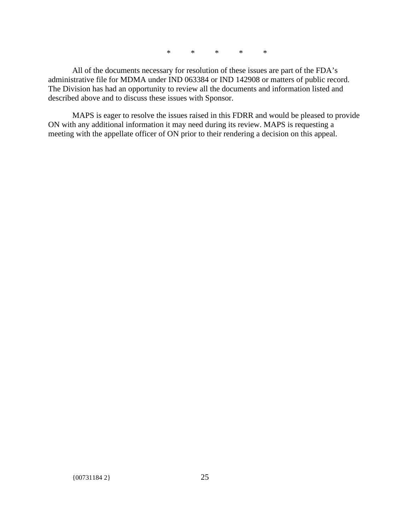\* \* \* \* \*

All of the documents necessary for resolution of these issues are part of the FDA's administrative file for MDMA under IND 063384 or IND 142908 or matters of public record. The Division has had an opportunity to review all the documents and information listed and described above and to discuss these issues with Sponsor.

MAPS is eager to resolve the issues raised in this FDRR and would be pleased to provide ON with any additional information it may need during its review. MAPS is requesting a meeting with the appellate officer of ON prior to their rendering a decision on this appeal.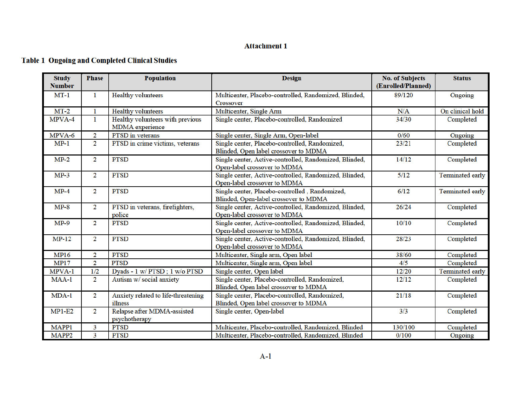## **Attachment 1**

# **Table 1 Ongoing and Completed Clinical Studies**

| <b>Study</b><br><b>Number</b> | <b>Phase</b>   | <b>Population</b>                                          | <b>Design</b>                                                                           | <b>No. of Subjects</b><br>(Enrolled/Planned) | <b>Status</b>           |
|-------------------------------|----------------|------------------------------------------------------------|-----------------------------------------------------------------------------------------|----------------------------------------------|-------------------------|
| $MT-1$                        | 1              | <b>Healthy volunteers</b>                                  | Multicenter, Placebo-controlled, Randomized, Blinded,<br>Crossover                      | 89/120                                       | Ongoing                 |
| $MT-2$                        | 1              | <b>Healthy volunteers</b>                                  | Multicenter, Single Arm                                                                 | N/A                                          | On clinical hold        |
| MPVA-4                        | 1              | Healthy volunteers with previous<br><b>MDMA</b> experience | Single center, Placebo-controlled, Randomized                                           | 34/30                                        | Completed               |
| MPVA-6                        | $\overline{2}$ | PTSD in veterans                                           | Single center, Single Arm, Open-label                                                   | 0/60                                         | Ongoing                 |
| $MP-1$                        | $\overline{2}$ | PTSD in crime victims, veterans                            | Single center, Placebo-controlled, Randomized,<br>Blinded, Open label crossover to MDMA | 23/21                                        | Completed               |
| $MP-2$                        | $\overline{2}$ | <b>PTSD</b>                                                | Single center, Active-controlled, Randomized, Blinded,<br>Open-label crossover to MDMA  | 14/12                                        | Completed               |
| $MP-3$                        | $\overline{2}$ | <b>PTSD</b>                                                | Single center, Active-controlled, Randomized, Blinded,<br>Open-label crossover to MDMA  | 5/12                                         | <b>Terminated early</b> |
| $MP-4$                        | $\overline{2}$ | <b>PTSD</b>                                                | Single center, Placebo-controlled, Randomized,<br>Blinded, Open-label crossover to MDMA | 6/12                                         | <b>Terminated early</b> |
| $MP-8$                        | $\overline{2}$ | PTSD in veterans, firefighters,<br>police                  | Single center, Active-controlled, Randomized, Blinded,<br>Open-label crossover to MDMA  | 26/24                                        | Completed               |
| $MP-9$                        | $\overline{2}$ | <b>PTSD</b>                                                | Single center, Active-controlled, Randomized, Blinded,<br>Open-label crossover to MDMA  | 10/10                                        | Completed               |
| $MP-12$                       | $\overline{2}$ | <b>PTSD</b>                                                | Single center, Active-controlled, Randomized, Blinded,<br>Open-label crossover to MDMA  | 28/23                                        | Completed               |
| <b>MP16</b>                   | $\overline{2}$ | <b>PTSD</b>                                                | Multicenter, Single arm, Open label                                                     | 38/60                                        | Completed               |
| <b>MP17</b>                   | $\overline{c}$ | <b>PTSD</b>                                                | Multicenter, Single arm, Open label                                                     | 4/5                                          | Completed               |
| MPVA-1                        | 1/2            | Dyads - 1 w/ PTSD; 1 w/o PTSD                              | Single center, Open label                                                               | 12/20                                        | <b>Terminated early</b> |
| $MAA-1$                       | $\overline{2}$ | Autism w/ social anxiety                                   | Single center, Placebo-controlled, Randomized,<br>Blinded, Open label crossover to MDMA | 12/12                                        | Completed               |
| $MDA-1$                       | $\overline{2}$ | Anxiety related to life-threatening<br>illness             | Single center, Placebo-controlled, Randomized,<br>Blinded, Open label crossover to MDMA | 21/18                                        | Completed               |
| $MP1-E2$                      | $\overline{2}$ | Relapse after MDMA-assisted<br>psychotherapy               | Single center, Open-label                                                               | 3/3                                          | Completed               |
| MAPP1                         | 3              | <b>PTSD</b>                                                | Multicenter, Placebo-controlled, Randomized, Blinded                                    | 130/100                                      | Completed               |
| MAPP <sub>2</sub>             | 3              | <b>PTSD</b>                                                | Multicenter, Placebo-controlled, Randomized, Blinded                                    | 0/100                                        | Ongoing                 |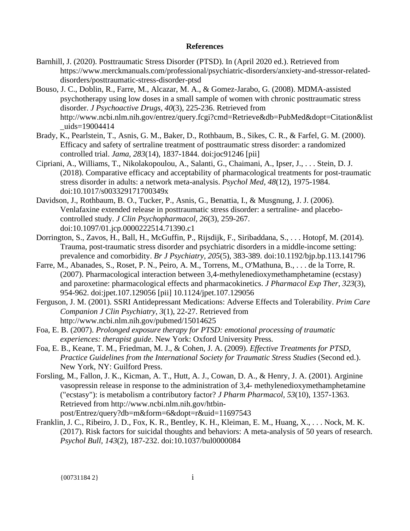#### **References**

- Barnhill, J. (2020). Posttraumatic Stress Disorder (PTSD). In (April 2020 ed.). Retrieved from https://www.merckmanuals.com/professional/psychiatric-disorders/anxiety-and-stressor-relateddisorders/posttraumatic-stress-disorder-ptsd
- Bouso, J. C., Doblin, R., Farre, M., Alcazar, M. A., & Gomez-Jarabo, G. (2008). MDMA-assisted psychotherapy using low doses in a small sample of women with chronic posttraumatic stress disorder. *J Psychoactive Drugs, 40*(3), 225-236. Retrieved from http://www.ncbi.nlm.nih.gov/entrez/query.fcgi?cmd=Retrieve&db=PubMed&dopt=Citation&list uids=19004414
- Brady, K., Pearlstein, T., Asnis, G. M., Baker, D., Rothbaum, B., Sikes, C. R., & Farfel, G. M. (2000). Efficacy and safety of sertraline treatment of posttraumatic stress disorder: a randomized controlled trial. *Jama, 283*(14), 1837-1844. doi:joc91246 [pii]
- Cipriani, A., Williams, T., Nikolakopoulou, A., Salanti, G., Chaimani, A., Ipser, J., . . . Stein, D. J. (2018). Comparative efficacy and acceptability of pharmacological treatments for post-traumatic stress disorder in adults: a network meta-analysis. *Psychol Med, 48*(12), 1975-1984. doi:10.1017/s003329171700349x
- Davidson, J., Rothbaum, B. O., Tucker, P., Asnis, G., Benattia, I., & Musgnung, J. J. (2006). Venlafaxine extended release in posttraumatic stress disorder: a sertraline- and placebocontrolled study. *J Clin Psychopharmacol, 26*(3), 259-267. doi:10.1097/01.jcp.0000222514.71390.c1
- Dorrington, S., Zavos, H., Ball, H., McGuffin, P., Rijsdijk, F., Siribaddana, S., . . . Hotopf, M. (2014). Trauma, post-traumatic stress disorder and psychiatric disorders in a middle-income setting: prevalence and comorbidity. *Br J Psychiatry, 205*(5), 383-389. doi:10.1192/bjp.bp.113.141796
- Farre, M., Abanades, S., Roset, P. N., Peiro, A. M., Torrens, M., O'Mathuna, B., . . . de la Torre, R. (2007). Pharmacological interaction between 3,4-methylenedioxymethamphetamine (ecstasy) and paroxetine: pharmacological effects and pharmacokinetics. *J Pharmacol Exp Ther, 323*(3), 954-962. doi:jpet.107.129056 [pii] 10.1124/jpet.107.129056
- Ferguson, J. M. (2001). SSRI Antidepressant Medications: Adverse Effects and Tolerability. *Prim Care Companion J Clin Psychiatry, 3*(1), 22-27. Retrieved from http://www.ncbi.nlm.nih.gov/pubmed/15014625
- Foa, E. B. (2007). *Prolonged exposure therapy for PTSD: emotional processing of traumatic experiences: therapist guide*. New York: Oxford University Press.
- Foa, E. B., Keane, T. M., Friedman, M. J., & Cohen, J. A. (2009). *Effective Treatments for PTSD, Practice Guidelines from the International Society for Traumatic Stress Studies* (Second ed.). New York, NY: Guilford Press.
- Forsling, M., Fallon, J. K., Kicman, A. T., Hutt, A. J., Cowan, D. A., & Henry, J. A. (2001). Arginine vasopressin release in response to the administration of 3,4- methylenedioxymethamphetamine ("ecstasy"): is metabolism a contributory factor? *J Pharm Pharmacol, 53*(10), 1357-1363. Retrieved from http://www.ncbi.nlm.nih.gov/htbinpost/Entrez/query?db=m&form=6&dopt=r&uid=11697543
- Franklin, J. C., Ribeiro, J. D., Fox, K. R., Bentley, K. H., Kleiman, E. M., Huang, X., . . . Nock, M. K. (2017). Risk factors for suicidal thoughts and behaviors: A meta-analysis of 50 years of research. *Psychol Bull, 143*(2), 187-232. doi:10.1037/bul0000084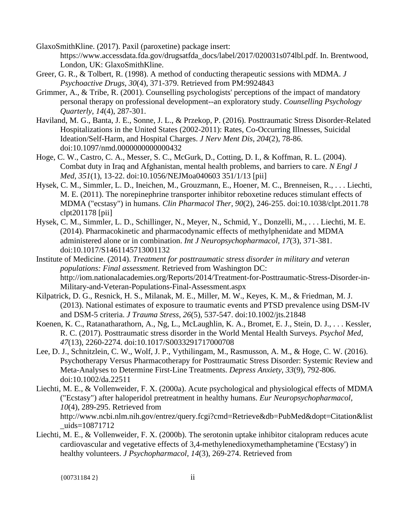GlaxoSmithKline. (2017). Paxil (paroxetine) package insert:

https://www.accessdata.fda.gov/drugsatfda\_docs/label/2017/020031s074lbl.pdf. In. Brentwood, London, UK: GlaxoSmithKline.

- Greer, G. R., & Tolbert, R. (1998). A method of conducting therapeutic sessions with MDMA. *J Psychoactive Drugs, 30*(4), 371-379. Retrieved from PM:9924843
- Grimmer, A., & Tribe, R. (2001). Counselling psychologists' perceptions of the impact of mandatory personal therapy on professional development--an exploratory study. *Counselling Psychology Quarterly, 14*(4), 287-301.
- Haviland, M. G., Banta, J. E., Sonne, J. L., & Przekop, P. (2016). Posttraumatic Stress Disorder-Related Hospitalizations in the United States (2002-2011): Rates, Co-Occurring Illnesses, Suicidal Ideation/Self-Harm, and Hospital Charges. *J Nerv Ment Dis, 204*(2), 78-86. doi:10.1097/nmd.0000000000000432
- Hoge, C. W., Castro, C. A., Messer, S. C., McGurk, D., Cotting, D. I., & Koffman, R. L. (2004). Combat duty in Iraq and Afghanistan, mental health problems, and barriers to care. *N Engl J Med, 351*(1), 13-22. doi:10.1056/NEJMoa040603 351/1/13 [pii]
- Hysek, C. M., Simmler, L. D., Ineichen, M., Grouzmann, E., Hoener, M. C., Brenneisen, R., . . . Liechti, M. E. (2011). The norepinephrine transporter inhibitor reboxetine reduces stimulant effects of MDMA ("ecstasy") in humans. *Clin Pharmacol Ther, 90*(2), 246-255. doi:10.1038/clpt.2011.78 clpt201178 [pii]
- Hysek, C. M., Simmler, L. D., Schillinger, N., Meyer, N., Schmid, Y., Donzelli, M., . . . Liechti, M. E. (2014). Pharmacokinetic and pharmacodynamic effects of methylphenidate and MDMA administered alone or in combination. *Int J Neuropsychopharmacol, 17*(3), 371-381. doi:10.1017/S1461145713001132
- Institute of Medicine. (2014). *Treatment for posttraumatic stress disorder in military and veteran populations: Final assessment.* Retrieved from Washington DC: http://iom.nationalacademies.org/Reports/2014/Treatment-for-Posttraumatic-Stress-Disorder-in-Military-and-Veteran-Populations-Final-Assessment.aspx
- Kilpatrick, D. G., Resnick, H. S., Milanak, M. E., Miller, M. W., Keyes, K. M., & Friedman, M. J. (2013). National estimates of exposure to traumatic events and PTSD prevalence using DSM-IV and DSM-5 criteria. *J Trauma Stress, 26*(5), 537-547. doi:10.1002/jts.21848
- Koenen, K. C., Ratanatharathorn, A., Ng, L., McLaughlin, K. A., Bromet, E. J., Stein, D. J., . . . Kessler, R. C. (2017). Posttraumatic stress disorder in the World Mental Health Surveys. *Psychol Med, 47*(13), 2260-2274. doi:10.1017/S0033291717000708
- Lee, D. J., Schnitzlein, C. W., Wolf, J. P., Vythilingam, M., Rasmusson, A. M., & Hoge, C. W. (2016). Psychotherapy Versus Pharmacotherapy for Posttraumatic Stress Disorder: Systemic Review and Meta-Analyses to Determine First-Line Treatments. *Depress Anxiety, 33*(9), 792-806. doi:10.1002/da.22511
- Liechti, M. E., & Vollenweider, F. X. (2000a). Acute psychological and physiological effects of MDMA ("Ecstasy") after haloperidol pretreatment in healthy humans. *Eur Neuropsychopharmacol, 10*(4), 289-295. Retrieved from http://www.ncbi.nlm.nih.gov/entrez/query.fcgi?cmd=Retrieve&db=PubMed&dopt=Citation&list \_uids=10871712
- Liechti, M. E., & Vollenweider, F. X. (2000b). The serotonin uptake inhibitor citalopram reduces acute cardiovascular and vegetative effects of 3,4-methylenedioxymethamphetamine ('Ecstasy') in healthy volunteers. *J Psychopharmacol, 14*(3), 269-274. Retrieved from

{00731184 2} ii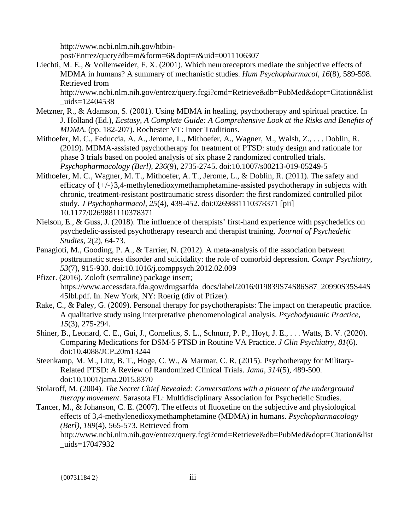http://www.ncbi.nlm.nih.gov/htbin-

post/Entrez/query?db=m&form=6&dopt=r&uid=0011106307

Liechti, M. E., & Vollenweider, F. X. (2001). Which neuroreceptors mediate the subjective effects of MDMA in humans? A summary of mechanistic studies. *Hum Psychopharmacol, 16*(8), 589-598. Retrieved from

http://www.ncbi.nlm.nih.gov/entrez/query.fcgi?cmd=Retrieve&db=PubMed&dopt=Citation&list  $_{\text{uids}=12404538}$ 

- Metzner, R., & Adamson, S. (2001). Using MDMA in healing, psychotherapy and spiritual practice. In J. Holland (Ed.), *Ecstasy, A Complete Guide: A Comprehensive Look at the Risks and Benefits of MDMA.* (pp. 182-207). Rochester VT: Inner Traditions.
- Mithoefer, M. C., Feduccia, A. A., Jerome, L., Mithoefer, A., Wagner, M., Walsh, Z., . . . Doblin, R. (2019). MDMA-assisted psychotherapy for treatment of PTSD: study design and rationale for phase 3 trials based on pooled analysis of six phase 2 randomized controlled trials. *Psychopharmacology (Berl), 236*(9), 2735-2745. doi:10.1007/s00213-019-05249-5
- Mithoefer, M. C., Wagner, M. T., Mithoefer, A. T., Jerome, L., & Doblin, R. (2011). The safety and efficacy of {+/-}3,4-methylenedioxymethamphetamine-assisted psychotherapy in subjects with chronic, treatment-resistant posttraumatic stress disorder: the first randomized controlled pilot study. *J Psychopharmacol, 25*(4), 439-452. doi:0269881110378371 [pii] 10.1177/0269881110378371
- Nielson, E., & Guss, J. (2018). The influence of therapists' first-hand experience with psychedelics on psychedelic-assisted psychotherapy research and therapist training. *Journal of Psychedelic Studies, 2*(2), 64-73.
- Panagioti, M., Gooding, P. A., & Tarrier, N. (2012). A meta-analysis of the association between posttraumatic stress disorder and suicidality: the role of comorbid depression. *Compr Psychiatry, 53*(7), 915-930. doi:10.1016/j.comppsych.2012.02.009
- Pfizer. (2016). Zoloft (sertraline) package insert; https://www.accessdata.fda.gov/drugsatfda\_docs/label/2016/019839S74S86S87\_20990S35S44S 45lbl.pdf. In. New York, NY: Roerig (div of Pfizer).
- Rake, C., & Paley, G. (2009). Personal therapy for psychotherapists: The impact on therapeutic practice. A qualitative study using interpretative phenomenological analysis. *Psychodynamic Practice, 15*(3), 275-294.
- Shiner, B., Leonard, C. E., Gui, J., Cornelius, S. L., Schnurr, P. P., Hoyt, J. E., . . . Watts, B. V. (2020). Comparing Medications for DSM-5 PTSD in Routine VA Practice. *J Clin Psychiatry, 81*(6). doi:10.4088/JCP.20m13244
- Steenkamp, M. M., Litz, B. T., Hoge, C. W., & Marmar, C. R. (2015). Psychotherapy for Military-Related PTSD: A Review of Randomized Clinical Trials. *Jama, 314*(5), 489-500. doi:10.1001/jama.2015.8370
- Stolaroff, M. (2004). *The Secret Chief Revealed: Conversations with a pioneer of the underground therapy movement.* Sarasota FL: Multidisciplinary Association for Psychedelic Studies.
- Tancer, M., & Johanson, C. E. (2007). The effects of fluoxetine on the subjective and physiological effects of 3,4-methylenedioxymethamphetamine (MDMA) in humans. *Psychopharmacology (Berl), 189*(4), 565-573. Retrieved from

http://www.ncbi.nlm.nih.gov/entrez/query.fcgi?cmd=Retrieve&db=PubMed&dopt=Citation&list \_uids=17047932